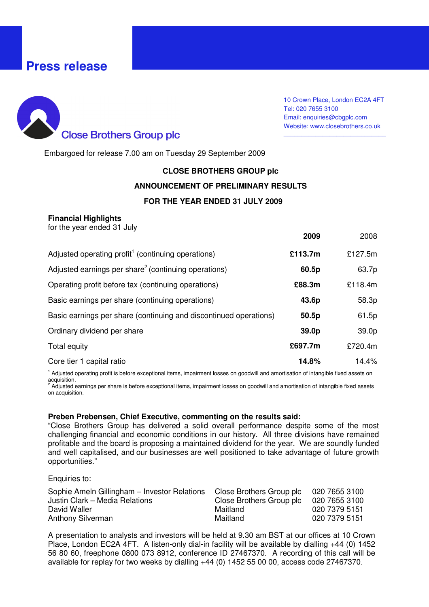# **Press release**



10 Crown Place, London EC2A 4FT Tel: 020 7655 3100 Email: enquiries@cbgplc.com Website: www.closebrothers.co.uk

 $\_$  . The set of the set of the set of the set of the set of the set of the set of the set of the set of the set of the set of the set of the set of the set of the set of the set of the set of the set of the set of the se

Embargoed for release 7.00 am on Tuesday 29 September 2009

#### **CLOSE BROTHERS GROUP plc**

#### **ANNOUNCEMENT OF PRELIMINARY RESULTS**

# **FOR THE YEAR ENDED 31 JULY 2009**

#### **Financial Highlights**

| for the year ended 31 July                                        |         |         |
|-------------------------------------------------------------------|---------|---------|
|                                                                   | 2009    | 2008    |
| Adjusted operating profit <sup>1</sup> (continuing operations)    | £113.7m | £127.5m |
| Adjusted earnings per share <sup>2</sup> (continuing operations)  | 60.5p   | 63.7p   |
| Operating profit before tax (continuing operations)               | £88.3m  | £118.4m |
| Basic earnings per share (continuing operations)                  | 43.6p   | 58.3p   |
| Basic earnings per share (continuing and discontinued operations) | 50.5p   | 61.5p   |
| Ordinary dividend per share                                       | 39.0p   | 39.0p   |
| Total equity                                                      | £697.7m | £720.4m |
| Core tier 1 capital ratio                                         | 14.8%   | 14.4%   |

<sup>1</sup> Adjusted operating profit is before exceptional items, impairment losses on goodwill and amortisation of intangible fixed assets on acquisition.<br><sup>2</sup> Adiusted e

 Adjusted earnings per share is before exceptional items, impairment losses on goodwill and amortisation of intangible fixed assets on acquisition.

#### **Preben Prebensen, Chief Executive, commenting on the results said:**

"Close Brothers Group has delivered a solid overall performance despite some of the most challenging financial and economic conditions in our history. All three divisions have remained profitable and the board is proposing a maintained dividend for the year. We are soundly funded and well capitalised, and our businesses are well positioned to take advantage of future growth opportunities."

Enquiries to:

| Sophie Ameln Gillingham - Investor Relations | Close Brothers Group plc | 020 7655 3100 |
|----------------------------------------------|--------------------------|---------------|
| Justin Clark – Media Relations               | Close Brothers Group plc | 020 7655 3100 |
| David Waller                                 | Maitland                 | 020 7379 5151 |
| <b>Anthony Silverman</b>                     | Maitland                 | 020 7379 5151 |

A presentation to analysts and investors will be held at 9.30 am BST at our offices at 10 Crown Place, London EC2A 4FT. A listen-only dial-in facility will be available by dialling +44 (0) 1452 56 80 60, freephone 0800 073 8912, conference ID 27467370. A recording of this call will be available for replay for two weeks by dialling +44 (0) 1452 55 00 00, access code 27467370.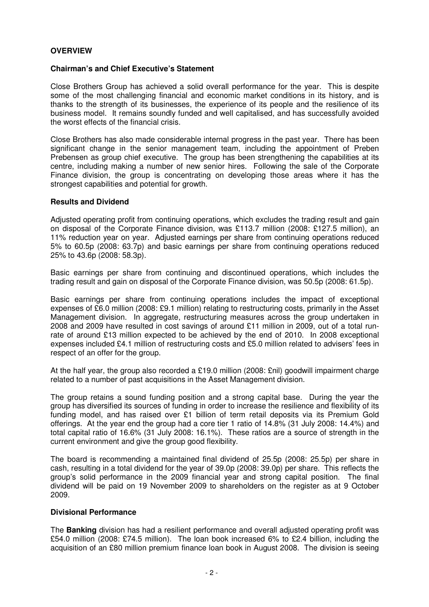### **OVERVIEW**

#### **Chairman's and Chief Executive's Statement**

Close Brothers Group has achieved a solid overall performance for the year. This is despite some of the most challenging financial and economic market conditions in its history, and is thanks to the strength of its businesses, the experience of its people and the resilience of its business model. It remains soundly funded and well capitalised, and has successfully avoided the worst effects of the financial crisis.

Close Brothers has also made considerable internal progress in the past year. There has been significant change in the senior management team, including the appointment of Preben Prebensen as group chief executive. The group has been strengthening the capabilities at its centre, including making a number of new senior hires. Following the sale of the Corporate Finance division, the group is concentrating on developing those areas where it has the strongest capabilities and potential for growth.

#### **Results and Dividend**

Adjusted operating profit from continuing operations, which excludes the trading result and gain on disposal of the Corporate Finance division, was £113.7 million (2008: £127.5 million), an 11% reduction year on year. Adjusted earnings per share from continuing operations reduced 5% to 60.5p (2008: 63.7p) and basic earnings per share from continuing operations reduced 25% to 43.6p (2008: 58.3p).

Basic earnings per share from continuing and discontinued operations, which includes the trading result and gain on disposal of the Corporate Finance division, was 50.5p (2008: 61.5p).

Basic earnings per share from continuing operations includes the impact of exceptional expenses of £6.0 million (2008: £9.1 million) relating to restructuring costs, primarily in the Asset Management division. In aggregate, restructuring measures across the group undertaken in 2008 and 2009 have resulted in cost savings of around £11 million in 2009, out of a total runrate of around £13 million expected to be achieved by the end of 2010. In 2008 exceptional expenses included £4.1 million of restructuring costs and £5.0 million related to advisers' fees in respect of an offer for the group.

At the half year, the group also recorded a £19.0 million (2008: £nil) goodwill impairment charge related to a number of past acquisitions in the Asset Management division.

The group retains a sound funding position and a strong capital base. During the year the group has diversified its sources of funding in order to increase the resilience and flexibility of its funding model, and has raised over £1 billion of term retail deposits via its Premium Gold offerings. At the year end the group had a core tier 1 ratio of 14.8% (31 July 2008: 14.4%) and total capital ratio of 16.6% (31 July 2008: 16.1%). These ratios are a source of strength in the current environment and give the group good flexibility.

The board is recommending a maintained final dividend of 25.5p (2008: 25.5p) per share in cash, resulting in a total dividend for the year of 39.0p (2008: 39.0p) per share. This reflects the group's solid performance in the 2009 financial year and strong capital position. The final dividend will be paid on 19 November 2009 to shareholders on the register as at 9 October 2009.

#### **Divisional Performance**

The **Banking** division has had a resilient performance and overall adjusted operating profit was £54.0 million (2008: £74.5 million). The loan book increased 6% to £2.4 billion, including the acquisition of an £80 million premium finance loan book in August 2008. The division is seeing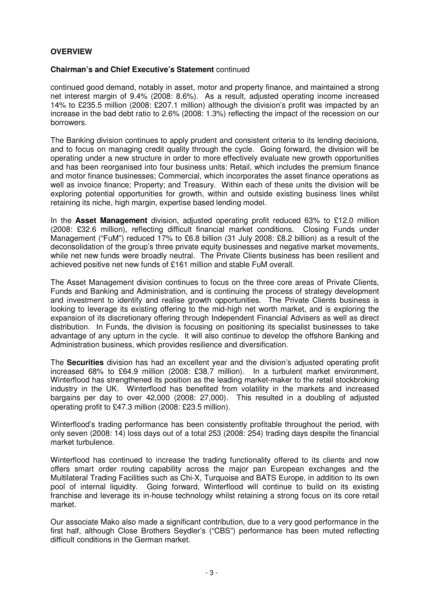### **OVERVIEW**

#### **Chairman's and Chief Executive's Statement** continued

continued good demand, notably in asset, motor and property finance, and maintained a strong net interest margin of 9.4% (2008: 8.6%). As a result, adjusted operating income increased 14% to £235.5 million (2008: £207.1 million) although the division's profit was impacted by an increase in the bad debt ratio to 2.6% (2008: 1.3%) reflecting the impact of the recession on our borrowers.

The Banking division continues to apply prudent and consistent criteria to its lending decisions, and to focus on managing credit quality through the cycle. Going forward, the division will be operating under a new structure in order to more effectively evaluate new growth opportunities and has been reorganised into four business units: Retail, which includes the premium finance and motor finance businesses; Commercial, which incorporates the asset finance operations as well as invoice finance; Property; and Treasury. Within each of these units the division will be exploring potential opportunities for growth, within and outside existing business lines whilst retaining its niche, high margin, expertise based lending model.

In the **Asset Management** division, adjusted operating profit reduced 63% to £12.0 million (2008: £32.6 million), reflecting difficult financial market conditions. Closing Funds under Management ("FuM") reduced 17% to £6.8 billion (31 July 2008: £8.2 billion) as a result of the deconsolidation of the group's three private equity businesses and negative market movements, while net new funds were broadly neutral. The Private Clients business has been resilient and achieved positive net new funds of £161 million and stable FuM overall.

The Asset Management division continues to focus on the three core areas of Private Clients, Funds and Banking and Administration, and is continuing the process of strategy development and investment to identify and realise growth opportunities. The Private Clients business is looking to leverage its existing offering to the mid-high net worth market, and is exploring the expansion of its discretionary offering through Independent Financial Advisers as well as direct distribution. In Funds, the division is focusing on positioning its specialist businesses to take advantage of any upturn in the cycle. It will also continue to develop the offshore Banking and Administration business, which provides resilience and diversification.

The **Securities** division has had an excellent year and the division's adjusted operating profit increased 68% to £64.9 million (2008: £38.7 million). In a turbulent market environment, Winterflood has strengthened its position as the leading market-maker to the retail stockbroking industry in the UK. Winterflood has benefited from volatility in the markets and increased bargains per day to over 42,000 (2008: 27,000). This resulted in a doubling of adjusted operating profit to £47.3 million (2008: £23.5 million).

Winterflood's trading performance has been consistently profitable throughout the period, with only seven (2008: 14) loss days out of a total 253 (2008: 254) trading days despite the financial market turbulence.

Winterflood has continued to increase the trading functionality offered to its clients and now offers smart order routing capability across the major pan European exchanges and the Multilateral Trading Facilities such as Chi-X, Turquoise and BATS Europe, in addition to its own pool of internal liquidity. Going forward, Winterflood will continue to build on its existing franchise and leverage its in-house technology whilst retaining a strong focus on its core retail market.

Our associate Mako also made a significant contribution, due to a very good performance in the first half, although Close Brothers Seydler's ("CBS") performance has been muted reflecting difficult conditions in the German market.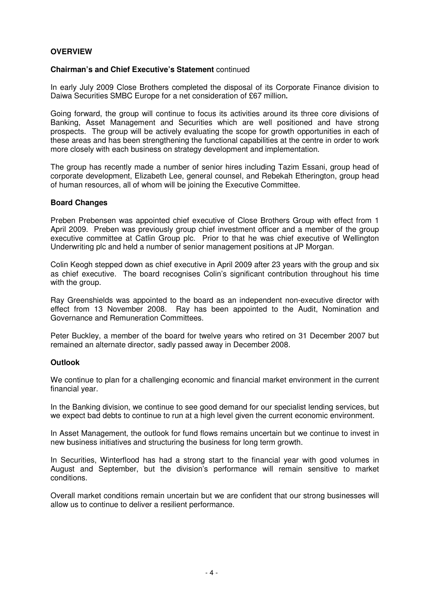### **OVERVIEW**

#### **Chairman's and Chief Executive's Statement** continued

In early July 2009 Close Brothers completed the disposal of its Corporate Finance division to Daiwa Securities SMBC Europe for a net consideration of £67 million**.** 

Going forward, the group will continue to focus its activities around its three core divisions of Banking, Asset Management and Securities which are well positioned and have strong prospects. The group will be actively evaluating the scope for growth opportunities in each of these areas and has been strengthening the functional capabilities at the centre in order to work more closely with each business on strategy development and implementation.

The group has recently made a number of senior hires including Tazim Essani, group head of corporate development, Elizabeth Lee, general counsel, and Rebekah Etherington, group head of human resources, all of whom will be joining the Executive Committee.

#### **Board Changes**

Preben Prebensen was appointed chief executive of Close Brothers Group with effect from 1 April 2009. Preben was previously group chief investment officer and a member of the group executive committee at Catlin Group plc. Prior to that he was chief executive of Wellington Underwriting plc and held a number of senior management positions at JP Morgan.

Colin Keogh stepped down as chief executive in April 2009 after 23 years with the group and six as chief executive. The board recognises Colin's significant contribution throughout his time with the group.

Ray Greenshields was appointed to the board as an independent non-executive director with effect from 13 November 2008. Ray has been appointed to the Audit. Nomination and Ray has been appointed to the Audit, Nomination and Governance and Remuneration Committees.

Peter Buckley, a member of the board for twelve years who retired on 31 December 2007 but remained an alternate director, sadly passed away in December 2008.

#### **Outlook**

We continue to plan for a challenging economic and financial market environment in the current financial year.

In the Banking division, we continue to see good demand for our specialist lending services, but we expect bad debts to continue to run at a high level given the current economic environment.

In Asset Management, the outlook for fund flows remains uncertain but we continue to invest in new business initiatives and structuring the business for long term growth.

In Securities, Winterflood has had a strong start to the financial year with good volumes in August and September, but the division's performance will remain sensitive to market conditions.

Overall market conditions remain uncertain but we are confident that our strong businesses will allow us to continue to deliver a resilient performance.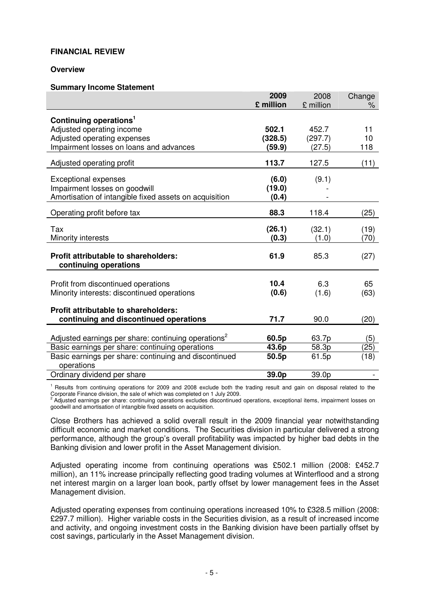#### **Overview**

#### **Summary Income Statement**

|                                                                 | 2009            | 2008      | Change |
|-----------------------------------------------------------------|-----------------|-----------|--------|
|                                                                 | £ million       | £ million | $\%$   |
| Continuing operations <sup>1</sup>                              |                 |           |        |
| Adjusted operating income                                       | 502.1           | 452.7     | 11     |
| Adjusted operating expenses                                     | (328.5)         | (297.7)   | 10     |
| Impairment losses on loans and advances                         | (59.9)          | (27.5)    | 118    |
|                                                                 |                 |           |        |
| Adjusted operating profit                                       | 113.7           | 127.5     | (11)   |
|                                                                 |                 |           |        |
| <b>Exceptional expenses</b><br>Impairment losses on goodwill    | (6.0)<br>(19.0) | (9.1)     |        |
| Amortisation of intangible fixed assets on acquisition          | (0.4)           |           |        |
|                                                                 |                 |           |        |
| Operating profit before tax                                     | 88.3            | 118.4     | (25)   |
| Tax                                                             | (26.1)          | (32.1)    | (19)   |
| Minority interests                                              | (0.3)           | (1.0)     | (70)   |
|                                                                 |                 |           |        |
| <b>Profit attributable to shareholders:</b>                     | 61.9            | 85.3      | (27)   |
| continuing operations                                           |                 |           |        |
|                                                                 |                 |           |        |
| Profit from discontinued operations                             | 10.4            | 6.3       | 65     |
| Minority interests: discontinued operations                     | (0.6)           | (1.6)     | (63)   |
| <b>Profit attributable to shareholders:</b>                     |                 |           |        |
| continuing and discontinued operations                          | 71.7            | 90.0      | (20)   |
|                                                                 |                 |           |        |
| Adjusted earnings per share: continuing operations <sup>2</sup> | 60.5p           | 63.7p     | (5)    |
| Basic earnings per share: continuing operations                 | 43.6p           | 58.3p     | (25)   |
| Basic earnings per share: continuing and discontinued           | 50.5p           | 61.5p     | (18)   |
| operations                                                      |                 |           |        |
| Ordinary dividend per share                                     | 39.0p           | 39.0p     |        |

 $1$  Results from continuing operations for 2009 and 2008 exclude both the trading result and gain on disposal related to the Corporate Finance division, the sale of which was completed on 1 July 2009.

Adjusted earnings per share: continuing operations excludes discontinued operations, exceptional items, impairment losses on goodwill and amortisation of intangible fixed assets on acquisition.

Close Brothers has achieved a solid overall result in the 2009 financial year notwithstanding difficult economic and market conditions. The Securities division in particular delivered a strong performance, although the group's overall profitability was impacted by higher bad debts in the Banking division and lower profit in the Asset Management division.

Adjusted operating income from continuing operations was £502.1 million (2008: £452.7 million), an 11% increase principally reflecting good trading volumes at Winterflood and a strong net interest margin on a larger loan book, partly offset by lower management fees in the Asset Management division.

Adjusted operating expenses from continuing operations increased 10% to £328.5 million (2008: £297.7 million). Higher variable costs in the Securities division, as a result of increased income and activity, and ongoing investment costs in the Banking division have been partially offset by cost savings, particularly in the Asset Management division.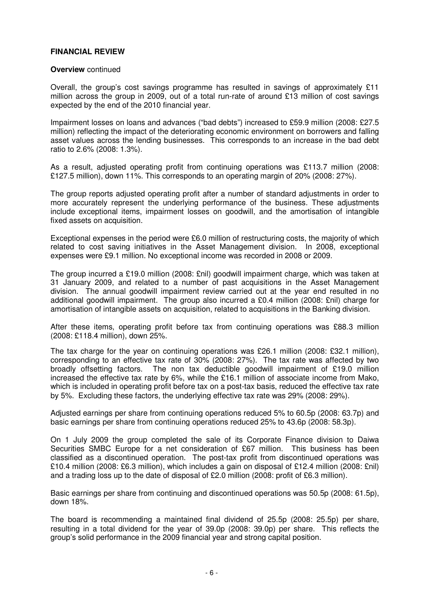#### **Overview** continued

Overall, the group's cost savings programme has resulted in savings of approximately £11 million across the group in 2009, out of a total run-rate of around £13 million of cost savings expected by the end of the 2010 financial year.

Impairment losses on loans and advances ("bad debts") increased to £59.9 million (2008: £27.5 million) reflecting the impact of the deteriorating economic environment on borrowers and falling asset values across the lending businesses. This corresponds to an increase in the bad debt ratio to 2.6% (2008: 1.3%).

As a result, adjusted operating profit from continuing operations was £113.7 million (2008: £127.5 million), down 11%. This corresponds to an operating margin of 20% (2008: 27%).

The group reports adjusted operating profit after a number of standard adjustments in order to more accurately represent the underlying performance of the business. These adjustments include exceptional items, impairment losses on goodwill, and the amortisation of intangible fixed assets on acquisition.

Exceptional expenses in the period were £6.0 million of restructuring costs, the majority of which related to cost saving initiatives in the Asset Management division. In 2008, exceptional expenses were £9.1 million. No exceptional income was recorded in 2008 or 2009.

The group incurred a £19.0 million (2008: £nil) goodwill impairment charge, which was taken at 31 January 2009, and related to a number of past acquisitions in the Asset Management division. The annual goodwill impairment review carried out at the year end resulted in no additional goodwill impairment. The group also incurred a £0.4 million (2008: £nil) charge for amortisation of intangible assets on acquisition, related to acquisitions in the Banking division.

After these items, operating profit before tax from continuing operations was £88.3 million (2008: £118.4 million), down 25%.

The tax charge for the year on continuing operations was £26.1 million (2008: £32.1 million), corresponding to an effective tax rate of 30% (2008: 27%). The tax rate was affected by two broadly offsetting factors. The non tax deductible goodwill impairment of £19.0 million increased the effective tax rate by 6%, while the £16.1 million of associate income from Mako, which is included in operating profit before tax on a post-tax basis, reduced the effective tax rate by 5%. Excluding these factors, the underlying effective tax rate was 29% (2008: 29%).

Adjusted earnings per share from continuing operations reduced 5% to 60.5p (2008: 63.7p) and basic earnings per share from continuing operations reduced 25% to 43.6p (2008: 58.3p).

On 1 July 2009 the group completed the sale of its Corporate Finance division to Daiwa Securities SMBC Europe for a net consideration of £67 million. This business has been classified as a discontinued operation. The post-tax profit from discontinued operations was £10.4 million (2008: £6.3 million), which includes a gain on disposal of £12.4 million (2008: £nil) and a trading loss up to the date of disposal of £2.0 million (2008: profit of £6.3 million).

Basic earnings per share from continuing and discontinued operations was 50.5p (2008: 61.5p), down 18%.

The board is recommending a maintained final dividend of 25.5p (2008: 25.5p) per share, resulting in a total dividend for the year of 39.0p (2008: 39.0p) per share. This reflects the group's solid performance in the 2009 financial year and strong capital position.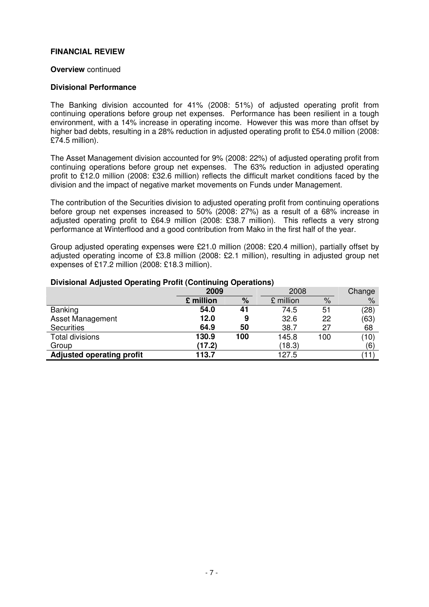#### **Overview** continued

#### **Divisional Performance**

The Banking division accounted for 41% (2008: 51%) of adjusted operating profit from continuing operations before group net expenses. Performance has been resilient in a tough environment, with a 14% increase in operating income. However this was more than offset by higher bad debts, resulting in a 28% reduction in adjusted operating profit to £54.0 million (2008; £74.5 million).

The Asset Management division accounted for 9% (2008: 22%) of adjusted operating profit from continuing operations before group net expenses. The 63% reduction in adjusted operating profit to £12.0 million (2008: £32.6 million) reflects the difficult market conditions faced by the division and the impact of negative market movements on Funds under Management.

The contribution of the Securities division to adjusted operating profit from continuing operations before group net expenses increased to 50% (2008: 27%) as a result of a 68% increase in adjusted operating profit to £64.9 million (2008: £38.7 million). This reflects a very strong performance at Winterflood and a good contribution from Mako in the first half of the year.

Group adjusted operating expenses were £21.0 million (2008: £20.4 million), partially offset by adjusted operating income of £3.8 million (2008: £2.1 million), resulting in adjusted group net expenses of £17.2 million (2008: £18.3 million).

### **Divisional Adjusted Operating Profit (Continuing Operations)**

|                                  | 2009      |     | 2008      |      | Change |
|----------------------------------|-----------|-----|-----------|------|--------|
|                                  | £ million | %   | £ million | $\%$ | $\%$   |
| <b>Banking</b>                   | 54.0      | 41  | 74.5      | 51   | (28)   |
| <b>Asset Management</b>          | 12.0      | 9   | 32.6      | 22   | (63)   |
| <b>Securities</b>                | 64.9      | 50  | 38.7      | 27   | 68     |
| <b>Total divisions</b>           | 130.9     | 100 | 145.8     | 100  | (10)   |
| Group                            | (17.2)    |     | (18.3)    |      | (6)    |
| <b>Adjusted operating profit</b> | 113.7     |     | 127.5     |      |        |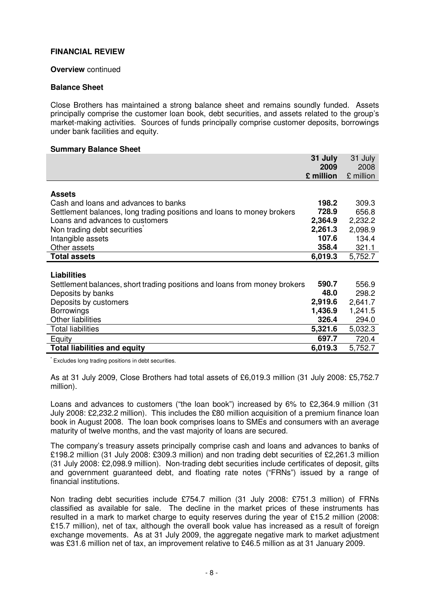#### **Overview** continued

#### **Balance Sheet**

Close Brothers has maintained a strong balance sheet and remains soundly funded. Assets principally comprise the customer loan book, debt securities, and assets related to the group's market-making activities. Sources of funds principally comprise customer deposits, borrowings under bank facilities and equity.

#### **Summary Balance Sheet**

|                                                                           | 31 July   | 31 July   |
|---------------------------------------------------------------------------|-----------|-----------|
|                                                                           | 2009      | 2008      |
|                                                                           | £ million | £ million |
| <b>Assets</b>                                                             |           |           |
| Cash and loans and advances to banks                                      | 198.2     | 309.3     |
| Settlement balances, long trading positions and loans to money brokers    | 728.9     | 656.8     |
| Loans and advances to customers                                           | 2,364.9   | 2,232.2   |
| Non trading debt securities                                               | 2,261.3   | 2,098.9   |
| Intangible assets                                                         | 107.6     | 134.4     |
| Other assets                                                              | 358.4     | 321.1     |
| <b>Total assets</b>                                                       | 6,019.3   | 5,752.7   |
|                                                                           |           |           |
| <b>Liabilities</b>                                                        |           |           |
| Settlement balances, short trading positions and loans from money brokers | 590.7     | 556.9     |
| Deposits by banks                                                         | 48.0      | 298.2     |
| Deposits by customers                                                     | 2,919.6   | 2,641.7   |
| <b>Borrowings</b>                                                         | 1,436.9   | 1,241.5   |
| <b>Other liabilities</b>                                                  | 326.4     | 294.0     |
| <b>Total liabilities</b>                                                  | 5,321.6   | 5,032.3   |
| Equity                                                                    | 697.7     | 720.4     |
| <b>Total liabilities and equity</b>                                       | 6,019.3   | 5,752.7   |
|                                                                           |           |           |

**\*** Excludes long trading positions in debt securities.

As at 31 July 2009, Close Brothers had total assets of £6,019.3 million (31 July 2008: £5,752.7 million).

Loans and advances to customers ("the loan book") increased by 6% to £2,364.9 million (31 July 2008: £2,232.2 million). This includes the £80 million acquisition of a premium finance loan book in August 2008. The loan book comprises loans to SMEs and consumers with an average maturity of twelve months, and the vast majority of loans are secured.

The company's treasury assets principally comprise cash and loans and advances to banks of £198.2 million (31 July 2008: £309.3 million) and non trading debt securities of £2,261.3 million (31 July 2008: £2,098.9 million). Non-trading debt securities include certificates of deposit, gilts and government guaranteed debt, and floating rate notes ("FRNs") issued by a range of financial institutions.

Non trading debt securities include £754.7 million (31 July 2008: £751.3 million) of FRNs classified as available for sale. The decline in the market prices of these instruments has resulted in a mark to market charge to equity reserves during the year of £15.2 million (2008: £15.7 million), net of tax, although the overall book value has increased as a result of foreign exchange movements. As at 31 July 2009, the aggregate negative mark to market adjustment was £31.6 million net of tax, an improvement relative to £46.5 million as at 31 January 2009.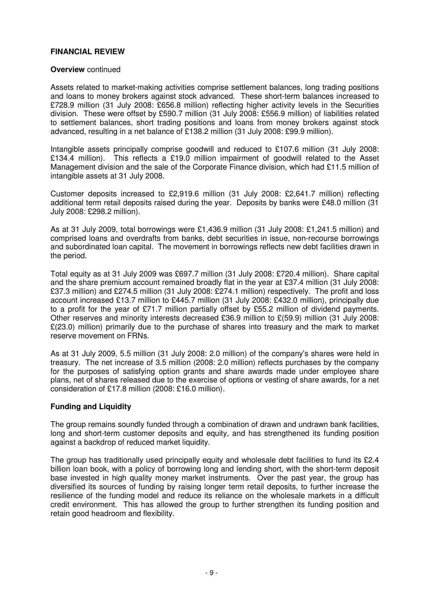#### **Overview** continued

Assets related to market-making activities comprise settlement balances, long trading positions and loans to money brokers against stock advanced. These short-term balances increased to £728.9 million (31 July 2008: £656.8 million) reflecting higher activity levels in the Securities division. These were offset by £590.7 million (31 July 2008: £556.9 million) of liabilities related to settlement balances, short trading positions and loans from money brokers against stock advanced, resulting in a net balance of £138.2 million (31 July 2008: £99.9 million).

Intangible assets principally comprise goodwill and reduced to £107.6 million (31 July 2008: £134.4 million). This reflects a £19.0 million impairment of goodwill related to the Asset Management division and the sale of the Corporate Finance division, which had £11.5 million of intangible assets at 31 July 2008.

Customer deposits increased to £2,919.6 million (31 July 2008: £2,641.7 million) reflecting additional term retail deposits raised during the year. Deposits by banks were £48.0 million (31 July 2008: £298.2 million).

As at 31 July 2009, total borrowings were £1,436.9 million (31 July 2008: £1,241.5 million) and comprised loans and overdrafts from banks, debt securities in issue, non-recourse borrowings and subordinated loan capital. The movement in borrowings reflects new debt facilities drawn in the period.

Total equity as at 31 July 2009 was £697.7 million (31 July 2008: £720.4 million). Share capital and the share premium account remained broadly flat in the year at £37.4 million (31 July 2008: £37.3 million) and £274.5 million (31 July 2008: £274.1 million) respectively. The profit and loss account increased £13.7 million to £445.7 million (31 July 2008: £432.0 million), principally due to a profit for the year of £71.7 million partially offset by £55.2 million of dividend payments. Other reserves and minority interests decreased £36.9 million to £(59.9) million (31 July 2008:  $£(23.0)$  million) primarily due to the purchase of shares into treasury and the mark to market reserve movement on FRNs.

As at 31 July 2009, 5.5 million (31 July 2008: 2.0 million) of the company's shares were held in treasury. The net increase of 3.5 million (2008: 2.0 million) reflects purchases by the company for the purposes of satisfying option grants and share awards made under employee share plans, net of shares released due to the exercise of options or vesting of share awards, for a net consideration of £17.8 million (2008: £16.0 million).

# **Funding and Liquidity**

The group remains soundly funded through a combination of drawn and undrawn bank facilities, long and short-term customer deposits and equity, and has strengthened its funding position against a backdrop of reduced market liquidity.

The group has traditionally used principally equity and wholesale debt facilities to fund its £2.4 billion loan book, with a policy of borrowing long and lending short, with the short-term deposit base invested in high quality money market instruments. Over the past year, the group has diversified its sources of funding by raising longer term retail deposits, to further increase the resilience of the funding model and reduce its reliance on the wholesale markets in a difficult credit environment. This has allowed the group to further strengthen its funding position and retain good headroom and flexibility.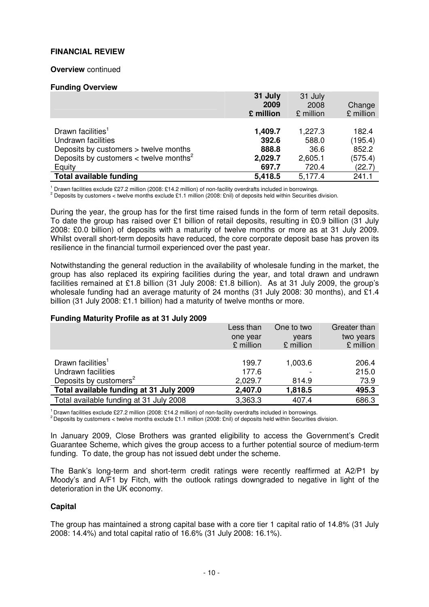#### **Overview** continued

#### **Funding Overview**

|                                                                                                                                                                  | 31 July<br>2009<br>£ million                  | 31 July<br>2008<br>£ million                 | Change<br>£ million                            |
|------------------------------------------------------------------------------------------------------------------------------------------------------------------|-----------------------------------------------|----------------------------------------------|------------------------------------------------|
| Drawn facilities <sup>1</sup><br>Undrawn facilities<br>Deposits by customers > twelve months<br>Deposits by customers $\lt$ twelve months <sup>2</sup><br>Equity | 1,409.7<br>392.6<br>888.8<br>2,029.7<br>697.7 | 1,227.3<br>588.0<br>36.6<br>2,605.1<br>720.4 | 182.4<br>(195.4)<br>852.2<br>(575.4)<br>(22.7) |
| <b>Total available funding</b>                                                                                                                                   | 5,418.5                                       | 5,177.4                                      | 241.1                                          |

1 Drawn facilities exclude £27.2 million (2008: £14.2 million) of non-facility overdrafts included in borrowings.

<sup>2</sup> Deposits by customers < twelve months exclude £1.1 million (2008: £nil) of deposits held within Securities division.

During the year, the group has for the first time raised funds in the form of term retail deposits. To date the group has raised over £1 billion of retail deposits, resulting in £0.9 billion (31 July 2008: £0.0 billion) of deposits with a maturity of twelve months or more as at 31 July 2009. Whilst overall short-term deposits have reduced, the core corporate deposit base has proven its resilience in the financial turmoil experienced over the past year.

Notwithstanding the general reduction in the availability of wholesale funding in the market, the group has also replaced its expiring facilities during the year, and total drawn and undrawn facilities remained at £1.8 billion (31 July 2008: £1.8 billion). As at 31 July 2009, the group's wholesale funding had an average maturity of 24 months (31 July 2008: 30 months), and £1.4 billion (31 July 2008: £1.1 billion) had a maturity of twelve months or more.

#### **Funding Maturity Profile as at 31 July 2009**

|                                         | Less than             | One to two         | Greater than           |
|-----------------------------------------|-----------------------|--------------------|------------------------|
|                                         | one year<br>£ million | years<br>£ million | two years<br>£ million |
|                                         |                       |                    |                        |
| Drawn facilities <sup>1</sup>           | 199.7                 | 1,003.6            | 206.4                  |
| Undrawn facilities                      | 177.6                 |                    | 215.0                  |
| Deposits by customers <sup>2</sup>      | 2,029.7               | 814.9              | 73.9                   |
| Total available funding at 31 July 2009 | 2,407.0               | 1,818.5            | 495.3                  |
| Total available funding at 31 July 2008 | 3,363.3               | 407.4              | 686.3                  |

<sup>1</sup>Drawn facilities exclude £27.2 million (2008: £14.2 million) of non-facility overdrafts included in borrowings.

<sup>2</sup>Deposits by customers < twelve months exclude £1.1 million (2008: £nil) of deposits held within Securities division.

In January 2009, Close Brothers was granted eligibility to access the Government's Credit Guarantee Scheme, which gives the group access to a further potential source of medium-term funding. To date, the group has not issued debt under the scheme.

The Bank's long-term and short-term credit ratings were recently reaffirmed at A2/P1 by Moody's and A/F1 by Fitch, with the outlook ratings downgraded to negative in light of the deterioration in the UK economy.

#### **Capital**

The group has maintained a strong capital base with a core tier 1 capital ratio of 14.8% (31 July 2008: 14.4%) and total capital ratio of 16.6% (31 July 2008: 16.1%).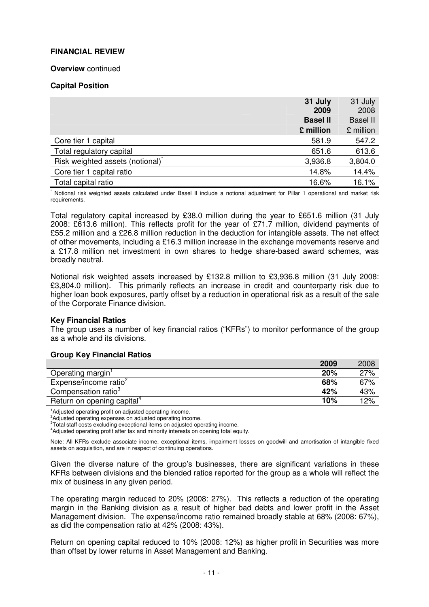**Overview** continued

#### **Capital Position**

|                                 | 31 July<br>2009 | 31 July<br>2008 |
|---------------------------------|-----------------|-----------------|
|                                 | <b>Basel II</b> | <b>Basel II</b> |
|                                 | £ million       | £ million       |
| Core tier 1 capital             | 581.9           | 547.2           |
| Total regulatory capital        | 651.6           | 613.6           |
| Risk weighted assets (notional) | 3,936.8         | 3,804.0         |
| Core tier 1 capital ratio       | 14.8%           | 14.4%           |
| Total capital ratio             | 16.6%           | 16.1%           |

\* Notional risk weighted assets calculated under Basel II include a notional adjustment for Pillar 1 operational and market risk requirements.

Total regulatory capital increased by £38.0 million during the year to £651.6 million (31 July 2008: £613.6 million). This reflects profit for the year of £71.7 million, dividend payments of £55.2 million and a £26.8 million reduction in the deduction for intangible assets. The net effect of other movements, including a £16.3 million increase in the exchange movements reserve and a £17.8 million net investment in own shares to hedge share-based award schemes, was broadly neutral.

Notional risk weighted assets increased by £132.8 million to £3,936.8 million (31 July 2008: £3,804.0 million). This primarily reflects an increase in credit and counterparty risk due to higher loan book exposures, partly offset by a reduction in operational risk as a result of the sale of the Corporate Finance division.

#### **Key Financial Ratios**

The group uses a number of key financial ratios ("KFRs") to monitor performance of the group as a whole and its divisions.

#### **Group Key Financial Ratios**

|                                        | 2009 | 2008 |
|----------------------------------------|------|------|
| Operating margin                       | 20%  | 27%  |
| Expense/income ratio <sup>2</sup>      | 68%  | 67%  |
| Compensation ratio <sup>3</sup>        | 42%  | 43%  |
| Return on opening capital <sup>4</sup> | 10%  | 12%  |

<sup>1</sup>Adjusted operating profit on adjusted operating income.

2Adjusted operating expenses on adjusted operating income.

<sup>3</sup>Total staff costs excluding exceptional items on adjusted operating income.

<sup>4</sup>Adjusted operating profit after tax and minority interests on opening total equity.

Note: All KFRs exclude associate income, exceptional items, impairment losses on goodwill and amortisation of intangible fixed assets on acquisition, and are in respect of continuing operations.

Given the diverse nature of the group's businesses, there are significant variations in these KFRs between divisions and the blended ratios reported for the group as a whole will reflect the mix of business in any given period.

The operating margin reduced to 20% (2008: 27%). This reflects a reduction of the operating margin in the Banking division as a result of higher bad debts and lower profit in the Asset Management division. The expense/income ratio remained broadly stable at 68% (2008: 67%), as did the compensation ratio at 42% (2008: 43%).

Return on opening capital reduced to 10% (2008: 12%) as higher profit in Securities was more than offset by lower returns in Asset Management and Banking.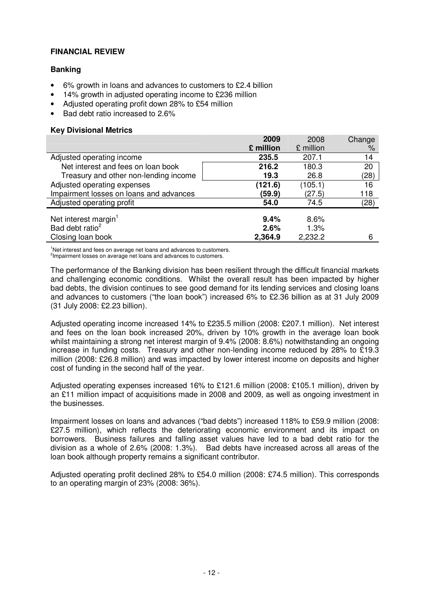# **Banking**

- 6% growth in loans and advances to customers to £2.4 billion
- 14% growth in adjusted operating income to £236 million
- Adjusted operating profit down 28% to £54 million
- Bad debt ratio increased to 2.6%

#### **Key Divisional Metrics**

|                                         | 2009      | 2008      | Change |
|-----------------------------------------|-----------|-----------|--------|
|                                         | £ million | £ million | $\%$   |
| Adjusted operating income               | 235.5     | 207.1     | 14     |
| Net interest and fees on loan book      | 216.2     | 180.3     | 20     |
| Treasury and other non-lending income   | 19.3      | 26.8      | (28)   |
| Adjusted operating expenses             | (121.6)   | (105.1)   | 16     |
| Impairment losses on loans and advances | (59.9)    | (27.5)    | 118    |
| Adjusted operating profit               | 54.0      | 74.5      | (28)   |
| Net interest margin <sup>1</sup>        | 9.4%      | 8.6%      |        |
| Bad debt ratio <sup>2</sup>             | 2.6%      | 1.3%      |        |
| Closing loan book                       | 2,364.9   | 2,232.2   | 6      |

<sup>1</sup>Net interest and fees on average net loans and advances to customers.

<sup>2</sup>Impairment losses on average net loans and advances to customers.

The performance of the Banking division has been resilient through the difficult financial markets and challenging economic conditions. Whilst the overall result has been impacted by higher bad debts, the division continues to see good demand for its lending services and closing loans and advances to customers ("the loan book") increased 6% to £2.36 billion as at 31 July 2009 (31 July 2008: £2.23 billion).

Adjusted operating income increased 14% to £235.5 million (2008: £207.1 million). Net interest and fees on the loan book increased 20%, driven by 10% growth in the average loan book whilst maintaining a strong net interest margin of 9.4% (2008: 8.6%) notwithstanding an ongoing increase in funding costs. Treasury and other non-lending income reduced by 28% to £19.3 million (2008: £26.8 million) and was impacted by lower interest income on deposits and higher cost of funding in the second half of the year.

Adjusted operating expenses increased 16% to £121.6 million (2008: £105.1 million), driven by an £11 million impact of acquisitions made in 2008 and 2009, as well as ongoing investment in the businesses.

Impairment losses on loans and advances ("bad debts") increased 118% to £59.9 million (2008: £27.5 million), which reflects the deteriorating economic environment and its impact on borrowers. Business failures and falling asset values have led to a bad debt ratio for the division as a whole of 2.6% (2008: 1.3%). Bad debts have increased across all areas of the loan book although property remains a significant contributor.

Adjusted operating profit declined 28% to £54.0 million (2008: £74.5 million). This corresponds to an operating margin of 23% (2008: 36%).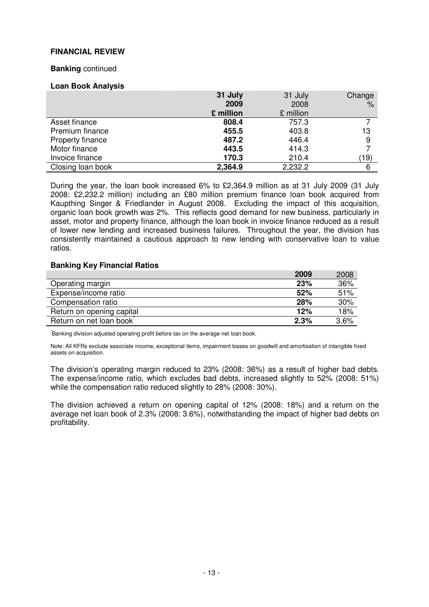#### **Banking** continued

#### **Loan Book Analysis**

|                   | 31 July   | 31 July   | Change |
|-------------------|-----------|-----------|--------|
|                   | 2009      | 2008      | $\%$   |
|                   | £ million | £ million |        |
| Asset finance     | 808.4     | 757.3     |        |
| Premium finance   | 455.5     | 403.8     | 13     |
| Property finance  | 487.2     | 446.4     | 9      |
| Motor finance     | 443.5     | 414.3     |        |
| Invoice finance   | 170.3     | 210.4     | (19)   |
| Closing loan book | 2,364.9   | 2,232.2   |        |

During the year, the loan book increased 6% to £2,364.9 million as at 31 July 2009 (31 July 2008: £2,232.2 million) including an £80 million premium finance loan book acquired from Kaupthing Singer & Friedlander in August 2008. Excluding the impact of this acquisition, organic loan book growth was 2%. This reflects good demand for new business, particularly in asset, motor and property finance, although the loan book in invoice finance reduced as a result of lower new lending and increased business failures. Throughout the year, the division has consistently maintained a cautious approach to new lending with conservative loan to value ratios.

#### **Banking Key Financial Ratios**

|                           | 2009 | 2008 |
|---------------------------|------|------|
| Operating margin          | 23%  | 36%  |
| Expense/income ratio      | 52%  | 51%  |
| Compensation ratio        | 28%  | 30%  |
| Return on opening capital | 12%  | 18%  |
| Return on net loan book   | 2.3% | 3.6% |

\*Banking division adjusted operating profit before tax on the average net loan book.

Note: All KFRs exclude associate income, exceptional items, impairment losses on goodwill and amortisation of intangible fixed assets on acquisition.

The division's operating margin reduced to 23% (2008: 36%) as a result of higher bad debts. The expense/income ratio, which excludes bad debts, increased slightly to 52% (2008: 51%) while the compensation ratio reduced slightly to 28% (2008: 30%).

The division achieved a return on opening capital of 12% (2008: 18%) and a return on the average net loan book of 2.3% (2008: 3.6%), notwithstanding the impact of higher bad debts on profitability.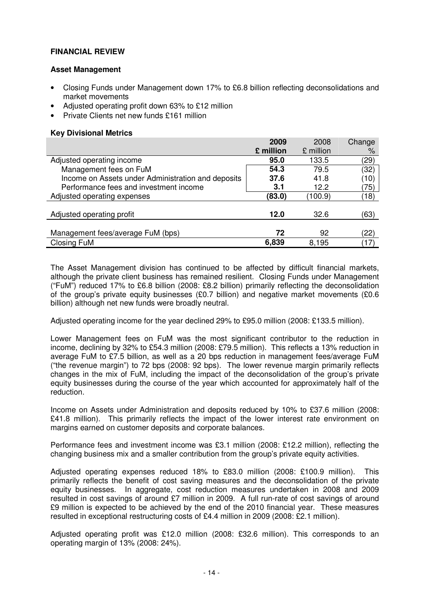### **Asset Management**

- Closing Funds under Management down 17% to £6.8 billion reflecting deconsolidations and market movements
- Adjusted operating profit down 63% to £12 million
- Private Clients net new funds £161 million

# **Key Divisional Metrics**

|                                                    | 2009      | 2008      | Change |
|----------------------------------------------------|-----------|-----------|--------|
|                                                    | £ million | £ million | $\%$   |
| Adjusted operating income                          | 95.0      | 133.5     | (29)   |
| Management fees on FuM                             | 54.3      | 79.5      | (32)   |
| Income on Assets under Administration and deposits | 37.6      | 41.8      | (10)   |
| Performance fees and investment income             | 3.1       | 12.2      | (75)   |
| Adjusted operating expenses                        | (83.0)    | (100.9)   | (18)   |
|                                                    |           |           |        |
| Adjusted operating profit                          | 12.0      | 32.6      | (63)   |
|                                                    |           |           |        |
| Management fees/average FuM (bps)                  | 72        | 92        | (22)   |
| <b>Closing FuM</b>                                 | 6,839     | 8,195     |        |

The Asset Management division has continued to be affected by difficult financial markets, although the private client business has remained resilient. Closing Funds under Management ("FuM") reduced 17% to £6.8 billion (2008: £8.2 billion) primarily reflecting the deconsolidation of the group's private equity businesses (£0.7 billion) and negative market movements (£0.6 billion) although net new funds were broadly neutral.

Adjusted operating income for the year declined 29% to £95.0 million (2008: £133.5 million).

Lower Management fees on FuM was the most significant contributor to the reduction in income, declining by 32% to £54.3 million (2008: £79.5 million). This reflects a 13% reduction in average FuM to £7.5 billion, as well as a 20 bps reduction in management fees/average FuM ("the revenue margin") to 72 bps (2008: 92 bps). The lower revenue margin primarily reflects changes in the mix of FuM, including the impact of the deconsolidation of the group's private equity businesses during the course of the year which accounted for approximately half of the reduction.

Income on Assets under Administration and deposits reduced by 10% to £37.6 million (2008: £41.8 million). This primarily reflects the impact of the lower interest rate environment on margins earned on customer deposits and corporate balances.

Performance fees and investment income was £3.1 million (2008: £12.2 million), reflecting the changing business mix and a smaller contribution from the group's private equity activities.

Adjusted operating expenses reduced 18% to £83.0 million (2008: £100.9 million). This primarily reflects the benefit of cost saving measures and the deconsolidation of the private equity businesses. In aggregate, cost reduction measures undertaken in 2008 and 2009 resulted in cost savings of around £7 million in 2009. A full run-rate of cost savings of around £9 million is expected to be achieved by the end of the 2010 financial year. These measures resulted in exceptional restructuring costs of £4.4 million in 2009 (2008: £2.1 million).

Adjusted operating profit was £12.0 million (2008: £32.6 million). This corresponds to an operating margin of 13% (2008: 24%).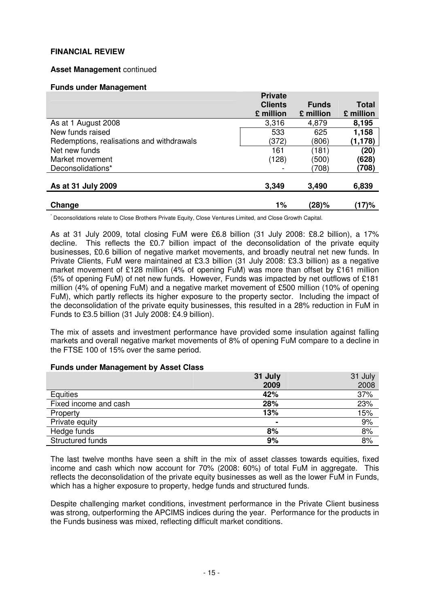\*

#### **Asset Management** continued

#### **Funds under Management**

|                                           | <b>Private</b><br><b>Clients</b><br>£ million | <b>Funds</b><br>£ million | Total<br>£ million |
|-------------------------------------------|-----------------------------------------------|---------------------------|--------------------|
| As at 1 August 2008                       | 3,316                                         | 4,879                     | 8,195              |
| New funds raised                          | 533                                           | 625                       | 1,158              |
| Redemptions, realisations and withdrawals | (372)                                         | (806)                     | (1, 178)           |
| Net new funds                             | 161                                           | (181)                     | (20)               |
| Market movement                           | (128)                                         | (500)                     | (628)              |
| Deconsolidations*                         |                                               | (708)                     | (708)              |
| As at 31 July 2009                        | 3,349                                         | 3,490                     | 6,839              |
| Change                                    | 1%                                            | (28)%                     | (17)%              |

Deconsolidations relate to Close Brothers Private Equity, Close Ventures Limited, and Close Growth Capital.

As at 31 July 2009, total closing FuM were £6.8 billion (31 July 2008: £8.2 billion), a 17% decline. This reflects the £0.7 billion impact of the deconsolidation of the private equity businesses, £0.6 billion of negative market movements, and broadly neutral net new funds. In Private Clients, FuM were maintained at £3.3 billion (31 July 2008: £3.3 billion) as a negative market movement of £128 million (4% of opening FuM) was more than offset by £161 million (5% of opening FuM) of net new funds. However, Funds was impacted by net outflows of £181 million (4% of opening FuM) and a negative market movement of £500 million (10% of opening FuM), which partly reflects its higher exposure to the property sector. Including the impact of the deconsolidation of the private equity businesses, this resulted in a 28% reduction in FuM in Funds to £3.5 billion (31 July 2008: £4.9 billion).

The mix of assets and investment performance have provided some insulation against falling markets and overall negative market movements of 8% of opening FuM compare to a decline in the FTSE 100 of 15% over the same period.

#### **Funds under Management by Asset Class**

|                       | 31 July | 31 July |
|-----------------------|---------|---------|
|                       | 2009    | 2008    |
| Equities              | 42%     | 37%     |
| Fixed income and cash | 28%     | 23%     |
| Property              | 13%     | 15%     |
| Private equity        | -       | 9%      |
| Hedge funds           | 8%      | 8%      |
| Structured funds      | 9%      | 8%      |

The last twelve months have seen a shift in the mix of asset classes towards equities, fixed income and cash which now account for 70% (2008: 60%) of total FuM in aggregate. This reflects the deconsolidation of the private equity businesses as well as the lower FuM in Funds, which has a higher exposure to property, hedge funds and structured funds.

Despite challenging market conditions, investment performance in the Private Client business was strong, outperforming the APCIMS indices during the year. Performance for the products in the Funds business was mixed, reflecting difficult market conditions.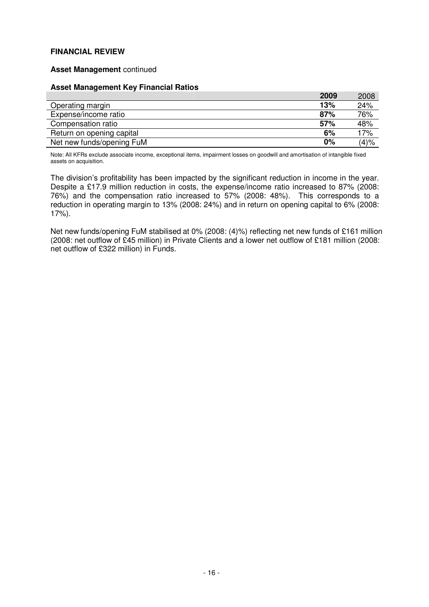#### **Asset Management** continued

#### **Asset Management Key Financial Ratios**

|                           | 2009 | 2008 |
|---------------------------|------|------|
| Operating margin          | 13%  | 24%  |
| Expense/income ratio      | 87%  | 76%  |
| Compensation ratio        | 57%  | 48%  |
| Return on opening capital | 6%   | 17%  |
| Net new funds/opening FuM | 0%   | (4)% |

Note: All KFRs exclude associate income, exceptional items, impairment losses on goodwill and amortisation of intangible fixed assets on acquisition.

The division's profitability has been impacted by the significant reduction in income in the year. Despite a £17.9 million reduction in costs, the expense/income ratio increased to 87% (2008: 76%) and the compensation ratio increased to 57% (2008: 48%). This corresponds to a reduction in operating margin to 13% (2008: 24%) and in return on opening capital to 6% (2008: 17%).

Net new funds/opening FuM stabilised at 0% (2008: (4)%) reflecting net new funds of £161 million (2008: net outflow of £45 million) in Private Clients and a lower net outflow of £181 million (2008: net outflow of £322 million) in Funds.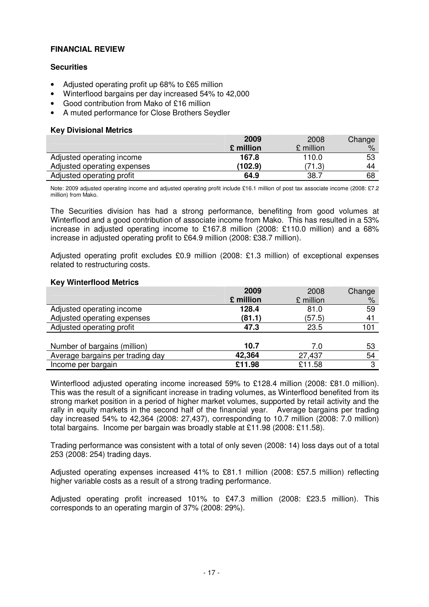# **Securities**

- Adjusted operating profit up 68% to £65 million
- Winterflood bargains per day increased 54% to 42,000
- Good contribution from Mako of £16 million
- A muted performance for Close Brothers Seydler

### **Key Divisional Metrics**

|                             | 2009      | 2008      | Change |
|-----------------------------|-----------|-----------|--------|
|                             | £ million | £ million | $\%$   |
| Adjusted operating income   | 167.8     | 110.0     | 53     |
| Adjusted operating expenses | (102.9)   | (71.3)    | 44     |
| Adjusted operating profit   | 64.9      | 38.7      | 68     |

Note: 2009 adjusted operating income and adjusted operating profit include £16.1 million of post tax associate income (2008: £7.2 million) from Mako.

The Securities division has had a strong performance, benefiting from good volumes at Winterflood and a good contribution of associate income from Mako. This has resulted in a 53% increase in adjusted operating income to £167.8 million (2008: £110.0 million) and a 68% increase in adjusted operating profit to £64.9 million (2008: £38.7 million).

Adjusted operating profit excludes £0.9 million (2008: £1.3 million) of exceptional expenses related to restructuring costs.

#### **Key Winterflood Metrics**

| 2009      | 2008      | Change |
|-----------|-----------|--------|
| £ million | £ million | $\%$   |
| 128.4     | 81.0      | 59     |
| (81.1)    | (57.5)    | 41     |
| 47.3      | 23.5      | 101    |
|           |           |        |
| 10.7      | 7.0       | 53     |
| 42,364    | 27,437    | 54     |
| £11.98    | £11.58    | 3      |
|           |           |        |

Winterflood adjusted operating income increased 59% to £128.4 million (2008: £81.0 million). This was the result of a significant increase in trading volumes, as Winterflood benefited from its strong market position in a period of higher market volumes, supported by retail activity and the rally in equity markets in the second half of the financial year. Average bargains per trading day increased 54% to 42,364 (2008: 27,437), corresponding to 10.7 million (2008: 7.0 million) total bargains. Income per bargain was broadly stable at £11.98 (2008: £11.58).

Trading performance was consistent with a total of only seven (2008: 14) loss days out of a total 253 (2008: 254) trading days.

Adjusted operating expenses increased 41% to £81.1 million (2008: £57.5 million) reflecting higher variable costs as a result of a strong trading performance.

Adjusted operating profit increased 101% to £47.3 million (2008: £23.5 million). This corresponds to an operating margin of 37% (2008: 29%).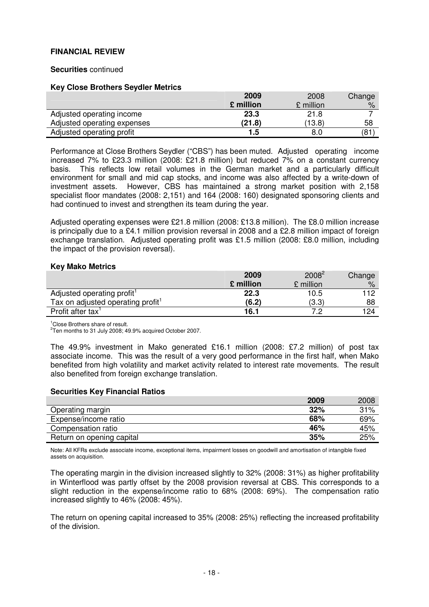#### **Securities** continued

#### **Key Close Brothers Seydler Metrics**

|                             | 2009      | 2008      | Change |
|-----------------------------|-----------|-----------|--------|
|                             | £ million | £ million | $\%$   |
| Adjusted operating income   | 23.3      | 21.8      |        |
| Adjusted operating expenses | (21.8)    | (13.8)    | 58     |
| Adjusted operating profit   | 1.5       | 8.0       | (81)   |

Performance at Close Brothers Seydler ("CBS") has been muted. Adjusted operating income increased 7% to £23.3 million (2008: £21.8 million) but reduced 7% on a constant currency basis. This reflects low retail volumes in the German market and a particularly difficult environment for small and mid cap stocks, and income was also affected by a write-down of investment assets. However, CBS has maintained a strong market position with 2,158 specialist floor mandates (2008: 2,151) and 164 (2008: 160) designated sponsoring clients and had continued to invest and strengthen its team during the year.

Adjusted operating expenses were £21.8 million (2008: £13.8 million). The £8.0 million increase is principally due to a £4.1 million provision reversal in 2008 and a £2.8 million impact of foreign exchange translation. Adjusted operating profit was £1.5 million (2008: £8.0 million, including the impact of the provision reversal).

#### **Key Mako Metrics**

|                                               | 2009      | $2008^2$  | Change |
|-----------------------------------------------|-----------|-----------|--------|
|                                               | £ million | £ million | $\%$   |
| Adjusted operating profit <sup>1</sup>        | 22.3      | 10.5      | 112    |
| Tax on adjusted operating profit <sup>1</sup> | (6.2)     | (3.3)     | 88     |
| Profit after tax <sup>1</sup>                 | 16.1      |           | 124    |

<sup>1</sup>Close Brothers share of result.

 $2$ <sup>2</sup>Ten months to 31 July 2008; 49.9% acquired October 2007.

The 49.9% investment in Mako generated £16.1 million (2008: £7.2 million) of post tax associate income. This was the result of a very good performance in the first half, when Mako benefited from high volatility and market activity related to interest rate movements. The result also benefited from foreign exchange translation.

#### **Securities Key Financial Ratios**

|                           | 2009 | 2008 |
|---------------------------|------|------|
| Operating margin          | 32%  | 31%  |
| Expense/income ratio      | 68%  | 69%  |
| Compensation ratio        | 46%  | 45%  |
| Return on opening capital | 35%  | 25%  |

Note: All KFRs exclude associate income, exceptional items, impairment losses on goodwill and amortisation of intangible fixed assets on acquisition.

The operating margin in the division increased slightly to 32% (2008: 31%) as higher profitability in Winterflood was partly offset by the 2008 provision reversal at CBS. This corresponds to a slight reduction in the expense/income ratio to 68% (2008: 69%). The compensation ratio increased slightly to 46% (2008: 45%).

The return on opening capital increased to 35% (2008: 25%) reflecting the increased profitability of the division.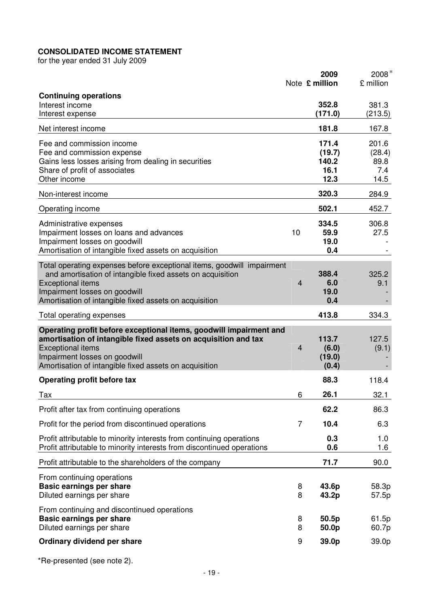# **CONSOLIDATED INCOME STATEMENT**

for the year ended 31 July 2009

|                                                                                                                                                                                                                                                             |                | 2009<br>Note £ million                   | $2008*$<br>£ million                   |
|-------------------------------------------------------------------------------------------------------------------------------------------------------------------------------------------------------------------------------------------------------------|----------------|------------------------------------------|----------------------------------------|
| <b>Continuing operations</b><br>Interest income<br>Interest expense                                                                                                                                                                                         |                | 352.8<br>(171.0)                         | 381.3<br>(213.5)                       |
| Net interest income                                                                                                                                                                                                                                         |                | 181.8                                    | 167.8                                  |
| Fee and commission income<br>Fee and commission expense<br>Gains less losses arising from dealing in securities<br>Share of profit of associates<br>Other income                                                                                            |                | 171.4<br>(19.7)<br>140.2<br>16.1<br>12.3 | 201.6<br>(28.4)<br>89.8<br>7.4<br>14.5 |
| Non-interest income                                                                                                                                                                                                                                         |                | 320.3                                    | 284.9                                  |
| Operating income                                                                                                                                                                                                                                            |                | 502.1                                    | 452.7                                  |
| Administrative expenses<br>Impairment losses on loans and advances<br>Impairment losses on goodwill<br>Amortisation of intangible fixed assets on acquisition                                                                                               | 10             | 334.5<br>59.9<br>19.0<br>0.4             | 306.8<br>27.5                          |
| Total operating expenses before exceptional items, goodwill impairment<br>and amortisation of intangible fixed assets on acquisition<br><b>Exceptional items</b><br>Impairment losses on goodwill<br>Amortisation of intangible fixed assets on acquisition | 4              | 388.4<br>6.0<br>19.0<br>0.4              | 325.2<br>9.1                           |
| Total operating expenses                                                                                                                                                                                                                                    |                | 413.8                                    | 334.3                                  |
| Operating profit before exceptional items, goodwill impairment and<br>amortisation of intangible fixed assets on acquisition and tax<br><b>Exceptional items</b><br>Impairment losses on goodwill<br>Amortisation of intangible fixed assets on acquisition | $\overline{4}$ | 113.7<br>(6.0)<br>(19.0)<br>(0.4)        | 127.5<br>(9.1)                         |
| Operating profit before tax                                                                                                                                                                                                                                 |                | 88.3                                     | 118.4                                  |
| Tax                                                                                                                                                                                                                                                         | 6              | 26.1                                     | 32.1                                   |
| Profit after tax from continuing operations                                                                                                                                                                                                                 |                | 62.2                                     | 86.3                                   |
| Profit for the period from discontinued operations                                                                                                                                                                                                          | 7              | 10.4                                     | 6.3                                    |
| Profit attributable to minority interests from continuing operations<br>Profit attributable to minority interests from discontinued operations                                                                                                              |                | 0.3<br>0.6                               | 1.0<br>1.6                             |
| Profit attributable to the shareholders of the company                                                                                                                                                                                                      |                | 71.7                                     | 90.0                                   |
| From continuing operations<br><b>Basic earnings per share</b><br>Diluted earnings per share                                                                                                                                                                 | 8<br>8         | 43.6p<br>43.2p                           | 58.3p<br>57.5p                         |
| From continuing and discontinued operations<br>Basic earnings per share<br>Diluted earnings per share                                                                                                                                                       | 8<br>8         | 50.5p<br>50.0p                           | 61.5p<br>60.7p                         |
| Ordinary dividend per share                                                                                                                                                                                                                                 | 9              | 39.0p                                    | 39.0p                                  |

\*Re-presented (see note 2).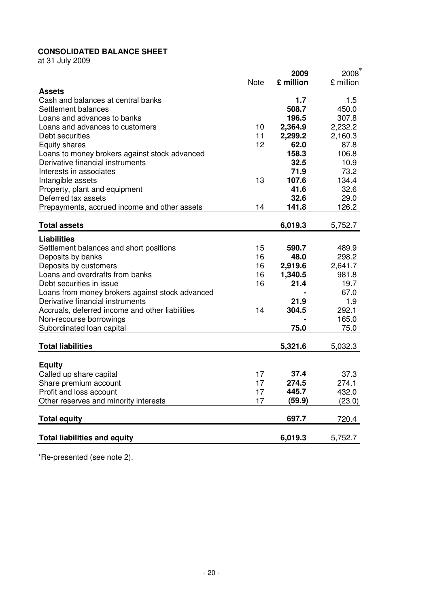# **CONSOLIDATED BALANCE SHEET**

at 31 July 2009

|                                                                | <b>Note</b> | 2009<br>£ million | $2008^*$<br>£ million |
|----------------------------------------------------------------|-------------|-------------------|-----------------------|
| <b>Assets</b>                                                  |             |                   |                       |
| Cash and balances at central banks                             |             | 1.7               | 1.5                   |
| Settlement balances                                            |             | 508.7<br>196.5    | 450.0<br>307.8        |
| Loans and advances to banks<br>Loans and advances to customers | 10          | 2,364.9           | 2,232.2               |
| Debt securities                                                | 11          | 2,299.2           | 2,160.3               |
| Equity shares                                                  | 12          | 62.0              | 87.8                  |
| Loans to money brokers against stock advanced                  |             | 158.3             | 106.8                 |
| Derivative financial instruments                               |             | 32.5              | 10.9                  |
| Interests in associates                                        |             | 71.9              | 73.2                  |
| Intangible assets                                              | 13          | 107.6             | 134.4                 |
| Property, plant and equipment                                  |             | 41.6              | 32.6                  |
| Deferred tax assets                                            |             | 32.6              | 29.0                  |
| Prepayments, accrued income and other assets                   | 14          | 141.8             | 126.2                 |
|                                                                |             |                   |                       |
| <b>Total assets</b>                                            |             | 6,019.3           | 5,752.7               |
| <b>Liabilities</b>                                             |             |                   |                       |
| Settlement balances and short positions                        | 15          | 590.7             | 489.9                 |
| Deposits by banks                                              | 16          | 48.0              | 298.2                 |
| Deposits by customers                                          | 16          | 2,919.6           | 2,641.7               |
| Loans and overdrafts from banks                                | 16          | 1,340.5           | 981.8                 |
| Debt securities in issue                                       | 16          | 21.4              | 19.7                  |
| Loans from money brokers against stock advanced                |             |                   | 67.0                  |
| Derivative financial instruments                               |             | 21.9              | 1.9                   |
| Accruals, deferred income and other liabilities                | 14          | 304.5             | 292.1                 |
| Non-recourse borrowings                                        |             |                   | 165.0                 |
| Subordinated Ioan capital                                      |             | 75.0              | 75.0                  |
| <b>Total liabilities</b>                                       |             | 5,321.6           | 5,032.3               |
|                                                                |             |                   |                       |
| <b>Equity</b>                                                  |             |                   |                       |
| Called up share capital                                        | 17          | 37.4              | 37.3                  |
| Share premium account                                          | 17          | 274.5             | 274.1                 |
| Profit and loss account                                        | 17          | 445.7             | 432.0                 |
| Other reserves and minority interests                          | 17          | (59.9)            | (23.0)                |
| <b>Total equity</b>                                            |             | 697.7             | 720.4                 |
| <b>Total liabilities and equity</b>                            |             | 6,019.3           | 5,752.7               |

\*Re-presented (see note 2).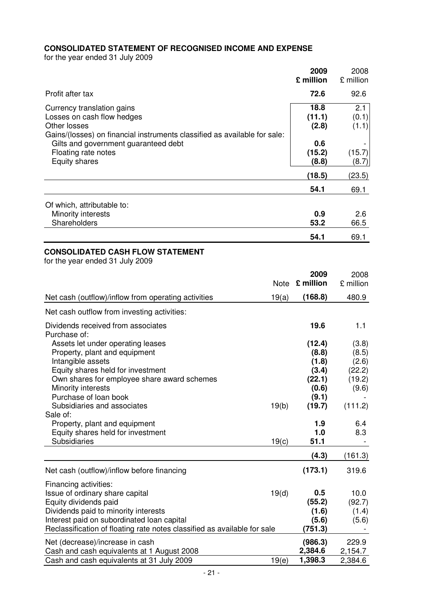# **CONSOLIDATED STATEMENT OF RECOGNISED INCOME AND EXPENSE**

for the year ended 31 July 2009

|                                                                                                                                                       | 2009<br>£ million       | 2008<br>£ million     |
|-------------------------------------------------------------------------------------------------------------------------------------------------------|-------------------------|-----------------------|
| Profit after tax                                                                                                                                      | 72.6                    | 92.6                  |
| Currency translation gains<br>Losses on cash flow hedges<br>Other losses<br>Gains/(losses) on financial instruments classified as available for sale: | 18.8<br>(11.1)<br>(2.8) | 2.1<br>(0.1)<br>(1.1) |
| Gilts and government guaranteed debt<br>Floating rate notes<br>Equity shares                                                                          | 0.6<br>(15.2)<br>(8.8)  | (15.7)<br>(8.7)       |
|                                                                                                                                                       | (18.5)                  | (23.5)                |
|                                                                                                                                                       | 54.1                    | 69.1                  |
| Of which, attributable to:<br>Minority interests<br><b>Shareholders</b>                                                                               | 0.9<br>53.2             | 2.6<br>66.5           |
|                                                                                                                                                       | 54.1                    | 69.1                  |

# **CONSOLIDATED CASH FLOW STATEMENT**

for the year ended 31 July 2009

|                                                                          | <b>Note</b> | 2009<br>£ million | 2008<br>£ million |
|--------------------------------------------------------------------------|-------------|-------------------|-------------------|
| Net cash (outflow)/inflow from operating activities                      | 19(a)       | (168.8)           | 480.9             |
| Net cash outflow from investing activities:                              |             |                   |                   |
| Dividends received from associates<br>Purchase of:                       |             | 19.6              | 1.1               |
| Assets let under operating leases                                        |             | (12.4)            | (3.8)             |
| Property, plant and equipment                                            |             | (8.8)             | (8.5)             |
| Intangible assets                                                        |             | (1.8)             | (2.6)             |
| Equity shares held for investment                                        |             | (3.4)             | (22.2)            |
| Own shares for employee share award schemes                              |             | (22.1)            | (19.2)            |
| Minority interests                                                       |             | (0.6)             | (9.6)             |
| Purchase of loan book                                                    |             | (9.1)             |                   |
| Subsidiaries and associates                                              | 19(b)       | (19.7)            | (111.2)           |
| Sale of:                                                                 |             |                   |                   |
| Property, plant and equipment                                            |             | 1.9               | 6.4               |
| Equity shares held for investment                                        |             | 1.0               | 8.3               |
| Subsidiaries                                                             | 19(c)       | 51.1              |                   |
|                                                                          |             | (4.3)             | (161.3)           |
| Net cash (outflow)/inflow before financing                               |             | (173.1)           | 319.6             |
| Financing activities:                                                    |             |                   |                   |
| Issue of ordinary share capital                                          | 19(d)       | 0.5               | 10.0              |
| Equity dividends paid                                                    |             | (55.2)            | (92.7)            |
| Dividends paid to minority interests                                     |             | (1.6)             | (1.4)             |
| Interest paid on subordinated loan capital                               |             | (5.6)             | (5.6)             |
| Reclassification of floating rate notes classified as available for sale |             | (751.3)           |                   |
| Net (decrease)/increase in cash                                          |             | (986.3)           | 229.9             |
| Cash and cash equivalents at 1 August 2008                               |             | 2,384.6           | 2,154.7           |
| Cash and cash equivalents at 31 July 2009                                | 19(e)       | 1,398.3           | 2,384.6           |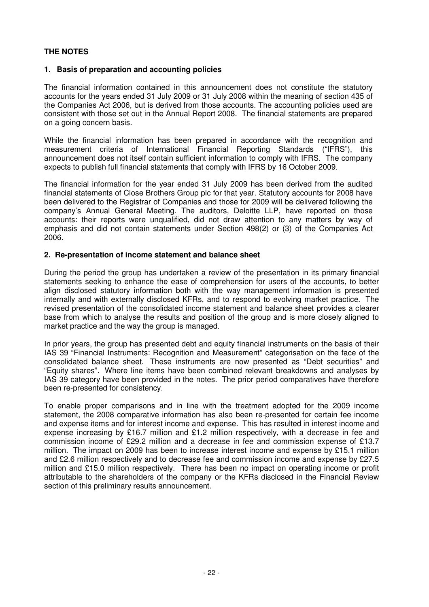### **1. Basis of preparation and accounting policies**

The financial information contained in this announcement does not constitute the statutory accounts for the years ended 31 July 2009 or 31 July 2008 within the meaning of section 435 of the Companies Act 2006, but is derived from those accounts. The accounting policies used are consistent with those set out in the Annual Report 2008. The financial statements are prepared on a going concern basis.

While the financial information has been prepared in accordance with the recognition and measurement criteria of International Financial Reporting Standards ("IFRS"), this announcement does not itself contain sufficient information to comply with IFRS. The company expects to publish full financial statements that comply with IFRS by 16 October 2009.

The financial information for the year ended 31 July 2009 has been derived from the audited financial statements of Close Brothers Group plc for that year. Statutory accounts for 2008 have been delivered to the Registrar of Companies and those for 2009 will be delivered following the company's Annual General Meeting. The auditors, Deloitte LLP, have reported on those accounts: their reports were unqualified, did not draw attention to any matters by way of emphasis and did not contain statements under Section 498(2) or (3) of the Companies Act 2006.

#### **2. Re-presentation of income statement and balance sheet**

During the period the group has undertaken a review of the presentation in its primary financial statements seeking to enhance the ease of comprehension for users of the accounts, to better align disclosed statutory information both with the way management information is presented internally and with externally disclosed KFRs, and to respond to evolving market practice. The revised presentation of the consolidated income statement and balance sheet provides a clearer base from which to analyse the results and position of the group and is more closely aligned to market practice and the way the group is managed.

In prior years, the group has presented debt and equity financial instruments on the basis of their IAS 39 "Financial Instruments: Recognition and Measurement" categorisation on the face of the consolidated balance sheet. These instruments are now presented as "Debt securities" and "Equity shares". Where line items have been combined relevant breakdowns and analyses by IAS 39 category have been provided in the notes. The prior period comparatives have therefore been re-presented for consistency.

To enable proper comparisons and in line with the treatment adopted for the 2009 income statement, the 2008 comparative information has also been re-presented for certain fee income and expense items and for interest income and expense. This has resulted in interest income and expense increasing by £16.7 million and £1.2 million respectively, with a decrease in fee and commission income of £29.2 million and a decrease in fee and commission expense of £13.7 million. The impact on 2009 has been to increase interest income and expense by £15.1 million and £2.6 million respectively and to decrease fee and commission income and expense by £27.5 million and £15.0 million respectively. There has been no impact on operating income or profit attributable to the shareholders of the company or the KFRs disclosed in the Financial Review section of this preliminary results announcement.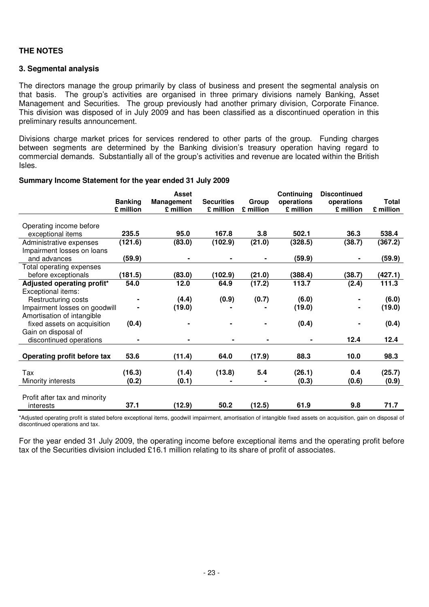#### **3. Segmental analysis**

The directors manage the group primarily by class of business and present the segmental analysis on that basis. The group's activities are organised in three primary divisions namely Banking, Asset Management and Securities. The group previously had another primary division, Corporate Finance. This division was disposed of in July 2009 and has been classified as a discontinued operation in this preliminary results announcement.

Divisions charge market prices for services rendered to other parts of the group. Funding charges between segments are determined by the Banking division's treasury operation having regard to commercial demands. Substantially all of the group's activities and revenue are located within the British Isles.

#### **Summary Income Statement for the year ended 31 July 2009**

|                               | <b>Banking</b><br>£ million | <b>Asset</b><br><b>Management</b><br>£ million | <b>Securities</b><br>£ million | Group<br>£ million | Continuing<br>operations<br>£ million | <b>Discontinued</b><br>operations<br>£ million | Total<br>£ million |
|-------------------------------|-----------------------------|------------------------------------------------|--------------------------------|--------------------|---------------------------------------|------------------------------------------------|--------------------|
|                               |                             |                                                |                                |                    |                                       |                                                |                    |
| Operating income before       |                             |                                                |                                |                    |                                       |                                                |                    |
| exceptional items             | 235.5                       | 95.0                                           | 167.8                          | 3.8                | 502.1                                 | 36.3                                           | 538.4              |
| Administrative expenses       | (121.6)                     | (83.0)                                         | (102.9)                        | (21.0)             | (328.5)                               | (38.7)                                         | (367.2)            |
| Impairment losses on loans    |                             |                                                |                                |                    |                                       |                                                |                    |
| and advances                  | (59.9)                      |                                                |                                |                    | (59.9)                                |                                                | (59.9)             |
| Total operating expenses      |                             |                                                |                                |                    |                                       |                                                |                    |
| before exceptionals           | (181.5)                     | (83.0)                                         | (102.9)                        | (21.0)             | (388.4)                               | (38.7)                                         | (427.1)            |
| Adjusted operating profit*    | 54.0                        | 12.0                                           | 64.9                           | (17.2)             | 113.7                                 | (2.4)                                          | 111.3              |
| Exceptional items:            |                             |                                                |                                |                    |                                       |                                                |                    |
| Restructuring costs           |                             | (4.4)                                          | (0.9)                          | (0.7)              | (6.0)                                 |                                                | (6.0)              |
| Impairment losses on goodwill |                             | (19.0)                                         |                                |                    | (19.0)                                |                                                | (19.0)             |
| Amortisation of intangible    |                             |                                                |                                |                    |                                       |                                                |                    |
| fixed assets on acquisition   | (0.4)                       |                                                |                                |                    | (0.4)                                 |                                                | (0.4)              |
| Gain on disposal of           |                             |                                                |                                |                    |                                       |                                                |                    |
| discontinued operations       |                             |                                                |                                |                    |                                       | 12.4                                           | 12.4               |
|                               |                             |                                                |                                |                    |                                       |                                                |                    |
| Operating profit before tax   | 53.6                        | (11.4)                                         | 64.0                           | (17.9)             | 88.3                                  | 10.0                                           | 98.3               |
|                               |                             |                                                |                                |                    |                                       |                                                |                    |
| Tax                           | (16.3)                      | (1.4)                                          | (13.8)                         | 5.4                | (26.1)                                | 0.4                                            | (25.7)             |
| Minority interests            | (0.2)                       | (0.1)                                          |                                |                    | (0.3)                                 | (0.6)                                          | (0.9)              |
|                               |                             |                                                |                                |                    |                                       |                                                |                    |
| Profit after tax and minority |                             |                                                |                                |                    |                                       |                                                |                    |
| interests                     | 37.1                        | (12.9)                                         | 50.2                           | (12.5)             | 61.9                                  | 9.8                                            | 71.7               |

\*Adjusted operating profit is stated before exceptional items, goodwill impairment, amortisation of intangible fixed assets on acquisition, gain on disposal of discontinued operations and tax.

For the year ended 31 July 2009, the operating income before exceptional items and the operating profit before tax of the Securities division included £16.1 million relating to its share of profit of associates.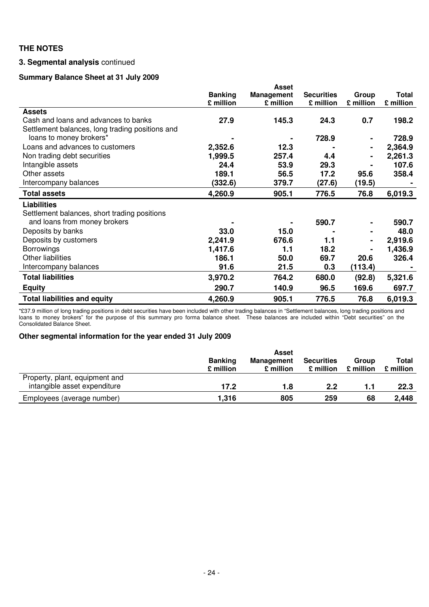# **3. Segmental analysis** continued

#### **Summary Balance Sheet at 31 July 2009**

|                                                 |                | <b>Asset</b>      |                   |           |              |
|-------------------------------------------------|----------------|-------------------|-------------------|-----------|--------------|
|                                                 | <b>Banking</b> | <b>Management</b> | <b>Securities</b> | Group     | <b>Total</b> |
|                                                 | £ million      | £ million         | £ million         | £ million | £ million    |
| <b>Assets</b>                                   |                |                   |                   |           |              |
| Cash and loans and advances to banks            | 27.9           | 145.3             | 24.3              | 0.7       | 198.2        |
| Settlement balances, long trading positions and |                |                   |                   |           |              |
| loans to money brokers*                         |                |                   | 728.9             | ۰         | 728.9        |
| Loans and advances to customers                 | 2,352.6        | 12.3              |                   | ۰         | 2,364.9      |
| Non trading debt securities                     | 1,999.5        | 257.4             | 4.4               | ۰         | 2,261.3      |
| Intangible assets                               | 24.4           | 53.9              | 29.3              |           | 107.6        |
| Other assets                                    | 189.1          | 56.5              | 17.2              | 95.6      | 358.4        |
| Intercompany balances                           | (332.6)        | 379.7             | (27.6)            | (19.5)    |              |
| <b>Total assets</b>                             | 4,260.9        | 905.1             | 776.5             | 76.8      | 6,019.3      |
| <b>Liabilities</b>                              |                |                   |                   |           |              |
| Settlement balances, short trading positions    |                |                   |                   |           |              |
| and loans from money brokers                    |                |                   | 590.7             |           | 590.7        |
| Deposits by banks                               | 33.0           | 15.0              |                   |           | 48.0         |
| Deposits by customers                           | 2,241.9        | 676.6             | 1.1               | ۰         | 2,919.6      |
| <b>Borrowings</b>                               | 1,417.6        | 1.1               | 18.2              |           | 1,436.9      |
| Other liabilities                               | 186.1          | 50.0              | 69.7              | 20.6      | 326.4        |
| Intercompany balances                           | 91.6           | 21.5              | 0.3               | (113.4)   |              |
| <b>Total liabilities</b>                        | 3,970.2        | 764.2             | 680.0             | (92.8)    | 5,321.6      |
| <b>Equity</b>                                   | 290.7          | 140.9             | 96.5              | 169.6     | 697.7        |
| <b>Total liabilities and equity</b>             | 4,260.9        | 905.1             | 776.5             | 76.8      | 6,019.3      |

\*£37.9 million of long trading positions in debt securities have been included with other trading balances in "Settlement balances, long trading positions and loans to money brokers" for the purpose of this summary pro forma balance sheet. These balances are included within "Debt securities" on the Consolidated Balance Sheet.

#### **Other segmental information for the year ended 31 July 2009**

|                                |                             | Asset                          |                                |                    |                           |
|--------------------------------|-----------------------------|--------------------------------|--------------------------------|--------------------|---------------------------|
|                                | <b>Banking</b><br>£ million | <b>Management</b><br>£ million | <b>Securities</b><br>£ million | Group<br>£ million | <b>Total</b><br>£ million |
| Property, plant, equipment and |                             |                                |                                |                    |                           |
| intangible asset expenditure   | 17.2                        | 1.8                            | 2.2                            | 1.1                | 22.3                      |
| Employees (average number)     | 1,316                       | 805                            | 259                            | 68                 | 2,448                     |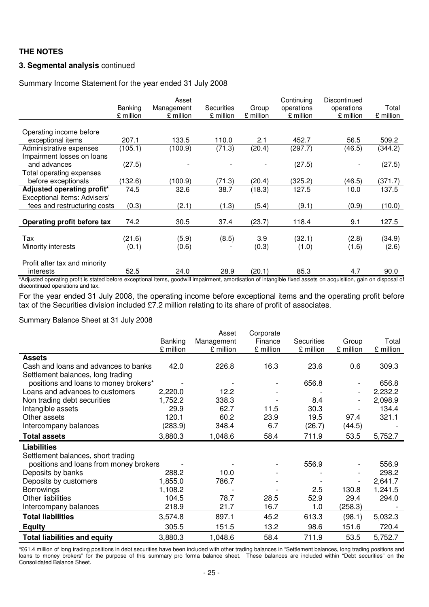#### **3. Segmental analysis** continued

Summary Income Statement for the year ended 31 July 2008

|                               |                | Asset      |            |           | Continuing | Discontinued |           |
|-------------------------------|----------------|------------|------------|-----------|------------|--------------|-----------|
|                               | <b>Banking</b> | Management | Securities | Group     | operations | operations   | Total     |
|                               | £ million      | £ million  | £ million  | £ million | £ million  | £ million    | £ million |
| Operating income before       |                |            |            |           |            |              |           |
| exceptional items             | 207.1          | 133.5      | 110.0      | 2.1       | 452.7      | 56.5         | 509.2     |
| Administrative expenses       | (105.1)        | (100.9)    | (71.3)     | (20.4)    | (297.7)    | (46.5)       | (344.2)   |
| Impairment losses on loans    |                |            |            |           |            |              |           |
| and advances                  | (27.5)         |            |            |           | (27.5)     |              | (27.5)    |
| Total operating expenses      |                |            |            |           |            |              |           |
| before exceptionals           | (132.6)        | 100.9      | (71.3)     | (20.4)    | (325.2)    | (46.5)       | (371.7)   |
| Adjusted operating profit*    | 74.5           | 32.6       | 38.7       | (18.3)    | 127.5      | 10.0         | 137.5     |
| Exceptional items: Advisers'  |                |            |            |           |            |              |           |
| fees and restructuring costs  | (0.3)          | (2.1)      | (1.3)      | (5.4)     | (9.1)      | (0.9)        | (10.0)    |
|                               |                |            |            |           |            |              |           |
| Operating profit before tax   | 74.2           | 30.5       | 37.4       | (23.7)    | 118.4      | 9.1          | 127.5     |
|                               |                |            |            |           |            |              |           |
| Tax                           | (21.6)         | (5.9)      | (8.5)      | 3.9       | (32.1)     | (2.8)        | (34.9)    |
| Minority interests            | (0.1)          | (0.6)      |            | (0.3)     | (1.0)      | (1.6)        | (2.6)     |
|                               |                |            |            |           |            |              |           |
| Profit after tax and minority |                |            |            |           |            |              |           |
| interests                     | 52.5           | 24.0       | 28.9       | (20.1)    | 85.3       | 4.7          | 90.0      |

\*Adjusted operating profit is stated before exceptional items, goodwill impairment, amortisation of intangible fixed assets on acquisition, gain on disposal of discontinued operations and tax.

For the year ended 31 July 2008, the operating income before exceptional items and the operating profit before tax of the Securities division included £7.2 million relating to its share of profit of associates.

Summary Balance Sheet at 31 July 2008

|                                        |           | Asset      | Corporate |                   |           |           |
|----------------------------------------|-----------|------------|-----------|-------------------|-----------|-----------|
|                                        | Banking   | Management | Finance   | <b>Securities</b> | Group     | Total     |
|                                        | £ million | £ million  | £ million | £ million         | £ million | £ million |
| <b>Assets</b>                          |           |            |           |                   |           |           |
| Cash and loans and advances to banks   | 42.0      | 226.8      | 16.3      | 23.6              | 0.6       | 309.3     |
| Settlement balances, long trading      |           |            |           |                   |           |           |
| positions and loans to money brokers*  |           |            |           | 656.8             |           | 656.8     |
| Loans and advances to customers        | 2,220.0   | 12.2       |           |                   |           | 2,232.2   |
| Non trading debt securities            | 1,752.2   | 338.3      |           | 8.4               |           | 2,098.9   |
| Intangible assets                      | 29.9      | 62.7       | 11.5      | 30.3              |           | 134.4     |
| Other assets                           | 120.1     | 60.2       | 23.9      | 19.5              | 97.4      | 321.1     |
| Intercompany balances                  | (283.9)   | 348.4      | 6.7       | (26.7)            | (44.5)    |           |
| <b>Total assets</b>                    | 3,880.3   | 1,048.6    | 58.4      | 711.9             | 53.5      | 5,752.7   |
| <b>Liabilities</b>                     |           |            |           |                   |           |           |
| Settlement balances, short trading     |           |            |           |                   |           |           |
| positions and loans from money brokers |           |            |           | 556.9             |           | 556.9     |
| Deposits by banks                      | 288.2     | 10.0       |           |                   |           | 298.2     |
| Deposits by customers                  | 1,855.0   | 786.7      |           |                   |           | 2,641.7   |
| <b>Borrowings</b>                      | 1,108.2   |            |           | 2.5               | 130.8     | 1,241.5   |
| <b>Other liabilities</b>               | 104.5     | 78.7       | 28.5      | 52.9              | 29.4      | 294.0     |
| Intercompany balances                  | 218.9     | 21.7       | 16.7      | 1.0               | (258.3)   |           |
| <b>Total liabilities</b>               | 3,574.8   | 897.1      | 45.2      | 613.3             | (98.1)    | 5,032.3   |
| <b>Equity</b>                          | 305.5     | 151.5      | 13.2      | 98.6              | 151.6     | 720.4     |
| <b>Total liabilities and equity</b>    | 3,880.3   | 1,048.6    | 58.4      | 711.9             | 53.5      | 5,752.7   |

\*£61.4 million of long trading positions in debt securities have been included with other trading balances in "Settlement balances, long trading positions and loans to money brokers" for the purpose of this summary pro forma balance sheet. These balances are included within "Debt securities" on the Consolidated Balance Sheet.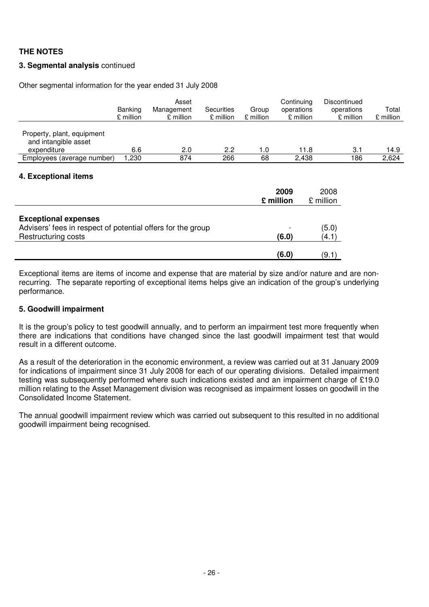# **3. Segmental analysis** continued

Other segmental information for the year ended 31 July 2008

|                                                                   | <b>Banking</b><br>£ million | Asset<br>Management<br>£ million | Securities<br>£ million | Group<br>£ million | Continuing<br>operations<br>£ million | Discontinued<br>operations<br>£ million | Total<br>£ million |
|-------------------------------------------------------------------|-----------------------------|----------------------------------|-------------------------|--------------------|---------------------------------------|-----------------------------------------|--------------------|
| Property, plant, equipment<br>and intangible asset<br>expenditure | 6.6                         | 2.0                              | 2.2                     | 1.0                | 11.8                                  | 3.1                                     | 14.9               |
| Employees (average number)                                        | .230                        | 874                              | 266                     | 68                 | 2.438                                 | 186                                     | 2,624              |
|                                                                   |                             |                                  |                         |                    |                                       |                                         |                    |

#### **4. Exceptional items**

|                                                             | 2009<br>£ million | 2008<br>£ million |
|-------------------------------------------------------------|-------------------|-------------------|
| <b>Exceptional expenses</b>                                 |                   |                   |
| Advisers' fees in respect of potential offers for the group |                   | (5.0)             |
| Restructuring costs                                         | (6.0)             | (4.1)             |
|                                                             | (6.0)             | (9.1)             |

Exceptional items are items of income and expense that are material by size and/or nature and are nonrecurring. The separate reporting of exceptional items helps give an indication of the group's underlying performance.

#### **5. Goodwill impairment**

It is the group's policy to test goodwill annually, and to perform an impairment test more frequently when there are indications that conditions have changed since the last goodwill impairment test that would result in a different outcome.

As a result of the deterioration in the economic environment, a review was carried out at 31 January 2009 for indications of impairment since 31 July 2008 for each of our operating divisions. Detailed impairment testing was subsequently performed where such indications existed and an impairment charge of £19.0 million relating to the Asset Management division was recognised as impairment losses on goodwill in the Consolidated Income Statement.

The annual goodwill impairment review which was carried out subsequent to this resulted in no additional goodwill impairment being recognised.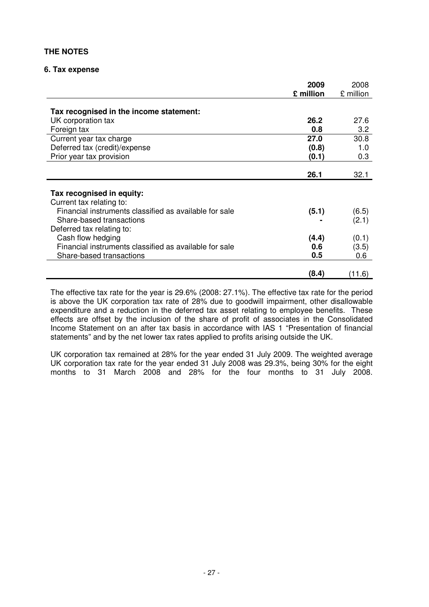#### **6. Tax expense**

|                                                                                                                 | 2009      | 2008      |
|-----------------------------------------------------------------------------------------------------------------|-----------|-----------|
|                                                                                                                 | £ million | £ million |
| Tax recognised in the income statement:                                                                         |           |           |
| UK corporation tax                                                                                              | 26.2      | 27.6      |
| Foreign tax                                                                                                     | 0.8       | 3.2       |
| Current year tax charge                                                                                         | 27.0      | 30.8      |
| Deferred tax (credit)/expense                                                                                   | (0.8)     | 1.0       |
| Prior year tax provision                                                                                        | (0.1)     | 0.3       |
|                                                                                                                 |           |           |
|                                                                                                                 | 26.1      | 32.1      |
| Tax recognised in equity:<br>Current tax relating to:<br>Financial instruments classified as available for sale | (5.1)     | (6.5)     |
| Share-based transactions<br>Deferred tax relating to:                                                           |           | (2.1)     |
| Cash flow hedging                                                                                               | (4.4)     | (0.1)     |
| Financial instruments classified as available for sale                                                          | 0.6       | (3.5)     |
| Share-based transactions                                                                                        | 0.5       | 0.6       |
|                                                                                                                 | (8.4)     | (11.6)    |

The effective tax rate for the year is 29.6% (2008: 27.1%). The effective tax rate for the period is above the UK corporation tax rate of 28% due to goodwill impairment, other disallowable expenditure and a reduction in the deferred tax asset relating to employee benefits. These effects are offset by the inclusion of the share of profit of associates in the Consolidated Income Statement on an after tax basis in accordance with IAS 1 "Presentation of financial statements" and by the net lower tax rates applied to profits arising outside the UK.

UK corporation tax remained at 28% for the year ended 31 July 2009. The weighted average UK corporation tax rate for the year ended 31 July 2008 was 29.3%, being 30% for the eight months to 31 March 2008 and 28% for the four months to 31 July 2008.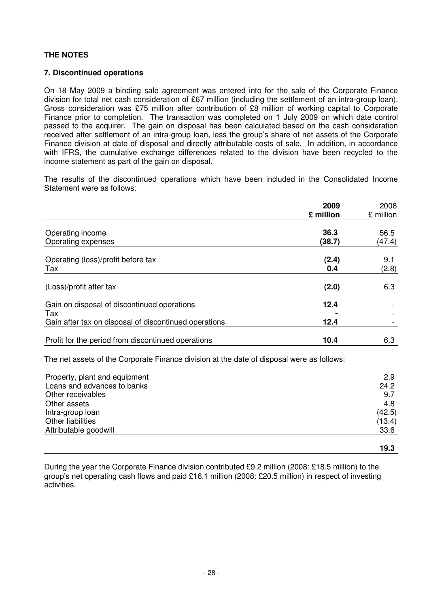### **7. Discontinued operations**

On 18 May 2009 a binding sale agreement was entered into for the sale of the Corporate Finance division for total net cash consideration of £67 million (including the settlement of an intra-group loan). Gross consideration was £75 million after contribution of £8 million of working capital to Corporate Finance prior to completion. The transaction was completed on 1 July 2009 on which date control passed to the acquirer. The gain on disposal has been calculated based on the cash consideration received after settlement of an intra-group loan, less the group's share of net assets of the Corporate Finance division at date of disposal and directly attributable costs of sale. In addition, in accordance with IFRS, the cumulative exchange differences related to the division have been recycled to the income statement as part of the gain on disposal.

The results of the discontinued operations which have been included in the Consolidated Income Statement were as follows:

|                                                              | 2009      | 2008      |
|--------------------------------------------------------------|-----------|-----------|
|                                                              | £ million | £ million |
| Operating income                                             | 36.3      | 56.5      |
| Operating expenses                                           | (38.7)    | (47.4)    |
| Operating (loss)/profit before tax                           | (2.4)     | 9.1       |
| Tax                                                          | 0.4       | (2.8)     |
| (Loss)/profit after tax                                      | (2.0)     | 6.3       |
| Gain on disposal of discontinued operations                  | 12.4      |           |
| Tax<br>Gain after tax on disposal of discontinued operations | 12.4      |           |
| Profit for the period from discontinued operations           | 10.4      | 6.3       |

The net assets of the Corporate Finance division at the date of disposal were as follows:

| Property, plant and equipment | 2.9    |
|-------------------------------|--------|
| Loans and advances to banks   | 24.2   |
| Other receivables             | 9.7    |
| Other assets                  | 4.8    |
| Intra-group loan              | (42.5) |
| Other liabilities             | (13.4) |
| Attributable goodwill         | 33.6   |
|                               | 19.3   |

During the year the Corporate Finance division contributed £9.2 million (2008: £18.5 million) to the group's net operating cash flows and paid £16.1 million (2008: £20.5 million) in respect of investing activities.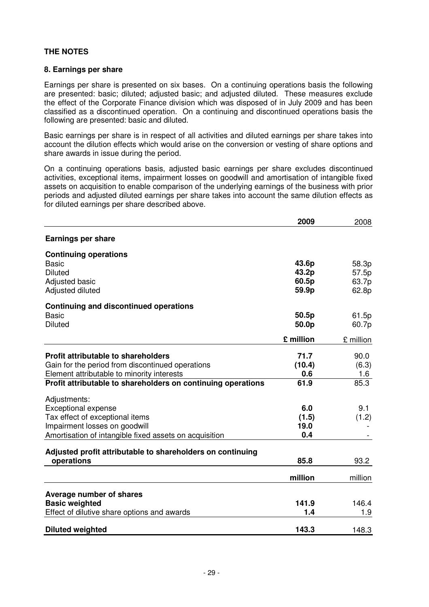#### **8. Earnings per share**

Earnings per share is presented on six bases. On a continuing operations basis the following are presented: basic; diluted; adjusted basic; and adjusted diluted. These measures exclude the effect of the Corporate Finance division which was disposed of in July 2009 and has been classified as a discontinued operation. On a continuing and discontinued operations basis the following are presented: basic and diluted.

Basic earnings per share is in respect of all activities and diluted earnings per share takes into account the dilution effects which would arise on the conversion or vesting of share options and share awards in issue during the period.

On a continuing operations basis, adjusted basic earnings per share excludes discontinued activities, exceptional items, impairment losses on goodwill and amortisation of intangible fixed assets on acquisition to enable comparison of the underlying earnings of the business with prior periods and adjusted diluted earnings per share takes into account the same dilution effects as for diluted earnings per share described above.

|                                                              | 2009      | 2008      |
|--------------------------------------------------------------|-----------|-----------|
| <b>Earnings per share</b>                                    |           |           |
| <b>Continuing operations</b>                                 |           |           |
| <b>Basic</b>                                                 | 43.6p     | 58.3p     |
| <b>Diluted</b>                                               | 43.2p     | 57.5p     |
| Adjusted basic                                               | 60.5p     | 63.7p     |
| Adjusted diluted                                             | 59.9p     | 62.8p     |
| <b>Continuing and discontinued operations</b>                |           |           |
| <b>Basic</b>                                                 | 50.5p     | 61.5p     |
| <b>Diluted</b>                                               | 50.0p     | 60.7p     |
|                                                              | £ million | £ million |
| <b>Profit attributable to shareholders</b>                   | 71.7      | 90.0      |
| Gain for the period from discontinued operations             | (10.4)    | (6.3)     |
| Element attributable to minority interests                   | 0.6       | 1.6       |
| Profit attributable to shareholders on continuing operations | 61.9      | 85.3      |
| Adjustments:                                                 |           |           |
| <b>Exceptional expense</b>                                   | 6.0       | 9.1       |
| Tax effect of exceptional items                              | (1.5)     | (1.2)     |
| Impairment losses on goodwill                                | 19.0      |           |
| Amortisation of intangible fixed assets on acquisition       | 0.4       |           |
| Adjusted profit attributable to shareholders on continuing   |           |           |
| operations                                                   | 85.8      | 93.2      |
|                                                              | million   | million   |
| <b>Average number of shares</b>                              |           |           |
| <b>Basic weighted</b>                                        | 141.9     | 146.4     |
| Effect of dilutive share options and awards                  | 1.4       | 1.9       |
| <b>Diluted weighted</b>                                      | 143.3     | 148.3     |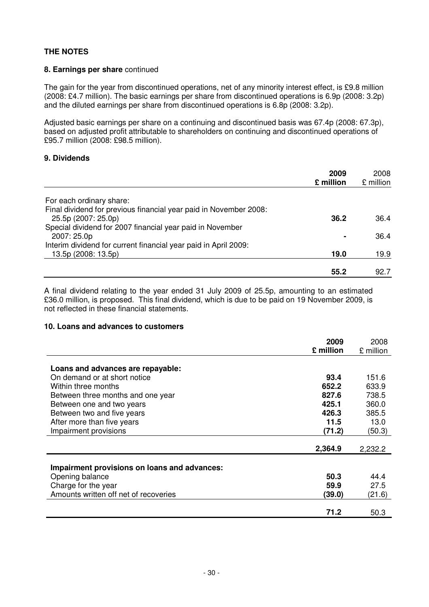#### **8. Earnings per share** continued

The gain for the year from discontinued operations, net of any minority interest effect, is £9.8 million (2008: £4.7 million). The basic earnings per share from discontinued operations is 6.9p (2008: 3.2p) and the diluted earnings per share from discontinued operations is 6.8p (2008: 3.2p).

Adjusted basic earnings per share on a continuing and discontinued basis was 67.4p (2008: 67.3p), based on adjusted profit attributable to shareholders on continuing and discontinued operations of £95.7 million (2008: £98.5 million).

# **9. Dividends**

|                                                                   | 2009<br>£ million | 2008<br>£ million |
|-------------------------------------------------------------------|-------------------|-------------------|
|                                                                   |                   |                   |
| For each ordinary share:                                          |                   |                   |
| Final dividend for previous financial year paid in November 2008: |                   |                   |
| 25.5p (2007: 25.0p)                                               | 36.2              | 36.4              |
| Special dividend for 2007 financial year paid in November         |                   |                   |
| 2007: 25.0p                                                       |                   | 36.4              |
|                                                                   | ٠                 |                   |
| Interim dividend for current financial year paid in April 2009:   |                   |                   |
| 13.5p (2008: 13.5p)                                               | 19.0              | 19.9              |
|                                                                   |                   |                   |
|                                                                   | 55.2              | 92.7              |

A final dividend relating to the year ended 31 July 2009 of 25.5p, amounting to an estimated £36.0 million, is proposed. This final dividend, which is due to be paid on 19 November 2009, is not reflected in these financial statements.

#### **10. Loans and advances to customers**

|                                              | 2009      | 2008      |
|----------------------------------------------|-----------|-----------|
|                                              | £ million | £ million |
| Loans and advances are repayable:            |           |           |
| On demand or at short notice                 | 93.4      | 151.6     |
| Within three months                          | 652.2     | 633.9     |
|                                              |           |           |
| Between three months and one year            | 827.6     | 738.5     |
| Between one and two years                    | 425.1     | 360.0     |
| Between two and five years                   | 426.3     | 385.5     |
| After more than five years                   | 11.5      | 13.0      |
| Impairment provisions                        | (71.2)    | (50.3)    |
|                                              |           |           |
|                                              | 2,364.9   | 2,232.2   |
|                                              |           |           |
| Impairment provisions on loans and advances: |           |           |
| Opening balance                              | 50.3      | 44.4      |
| Charge for the year                          | 59.9      | 27.5      |
| Amounts written off net of recoveries        | (39.0)    | (21.6)    |
|                                              |           |           |
|                                              | 71.2      | 50.3      |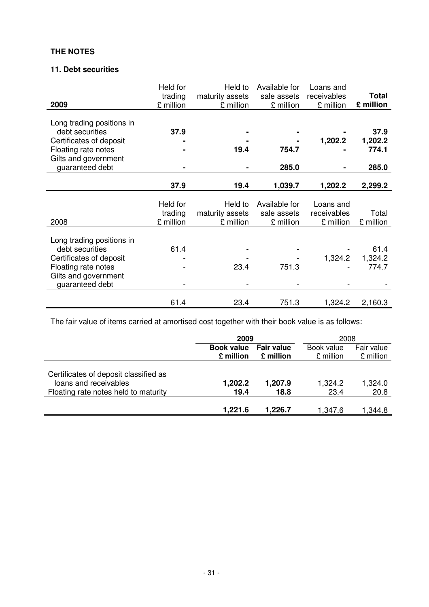# **11. Debt securities**

| 2009                                                                                                                                      | Held for<br>trading<br>£ million | Held to<br>maturity assets<br>£ million | Available for<br>sale assets<br>£ million | Loans and<br>receivables<br>£ million | <b>Total</b><br>£ million         |
|-------------------------------------------------------------------------------------------------------------------------------------------|----------------------------------|-----------------------------------------|-------------------------------------------|---------------------------------------|-----------------------------------|
| Long trading positions in<br>debt securities<br>Certificates of deposit<br>Floating rate notes<br>Gilts and government<br>guaranteed debt | 37.9                             | 19.4<br>$\blacksquare$                  | 754.7<br>285.0                            | 1,202.2                               | 37.9<br>1,202.2<br>774.1<br>285.0 |
|                                                                                                                                           | 37.9                             | 19.4                                    | 1,039.7                                   | 1,202.2                               | 2,299.2                           |
| 2008                                                                                                                                      | Held for<br>trading<br>£ million | Held to<br>maturity assets<br>£ million | Available for<br>sale assets<br>£ million | Loans and<br>receivables<br>£ million | Total<br>£ million                |
| Long trading positions in<br>debt securities<br>Certificates of deposit<br>Floating rate notes<br>Gilts and government<br>guaranteed debt | 61.4                             | 23.4                                    | 751.3                                     | 1,324.2                               | 61.4<br>1,324.2<br>774.7          |
|                                                                                                                                           | 61.4                             | 23.4                                    | 751.3                                     | 1,324.2                               | 2,160.3                           |

The fair value of items carried at amortised cost together with their book value is as follows:

|                                                                                                        | 2009              |                   | 2008            |                 |
|--------------------------------------------------------------------------------------------------------|-------------------|-------------------|-----------------|-----------------|
|                                                                                                        | <b>Book value</b> | <b>Fair value</b> | Book value      | Fair value      |
|                                                                                                        | £ million         | £ million         | £ million       | £ million       |
| Certificates of deposit classified as<br>loans and receivables<br>Floating rate notes held to maturity | 1,202.2<br>19.4   | 1,207.9<br>18.8   | 1,324.2<br>23.4 | 1,324.0<br>20.8 |
|                                                                                                        | 1,221.6           | 1,226.7           | 1,347.6         | 1,344.8         |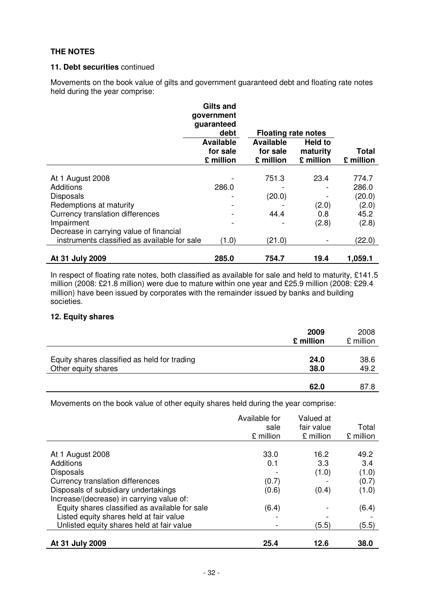#### **11. Debt securities** continued

Movements on the book value of gilts and government guaranteed debt and floating rate notes held during the year comprise:

|                                                                                         | <b>Gilts and</b><br>government<br>guaranteed<br>debt | <b>Floating rate notes</b>                |                                  |                    |
|-----------------------------------------------------------------------------------------|------------------------------------------------------|-------------------------------------------|----------------------------------|--------------------|
|                                                                                         | <b>Available</b><br>for sale<br>£ million            | <b>Available</b><br>for sale<br>£ million | Held to<br>maturity<br>£ million | Total<br>£ million |
| At 1 August 2008                                                                        |                                                      | 751.3                                     | 23.4                             | 774.7              |
| Additions                                                                               | 286.0                                                |                                           |                                  | 286.0              |
| <b>Disposals</b>                                                                        |                                                      | (20.0)                                    |                                  | (20.0)             |
| Redemptions at maturity                                                                 |                                                      |                                           | (2.0)                            | (2.0)              |
| Currency translation differences                                                        |                                                      | 44.4                                      | 0.8                              | 45.2               |
| Impairment                                                                              |                                                      |                                           | (2.8)                            | (2.8)              |
| Decrease in carrying value of financial<br>instruments classified as available for sale | (1.0)                                                | (21.0)                                    |                                  | (22.0)             |
| At 31 July 2009                                                                         | 285.0                                                | 754.7                                     | 19.4                             | 1,059.1            |

In respect of floating rate notes, both classified as available for sale and held to maturity, £141.5 million (2008: £21.8 million) were due to mature within one year and £25.9 million (2008: £29.4 million) have been issued by corporates with the remainder issued by banks and building societies.

### **12. Equity shares**

|                                                                     | 2009<br>£ million | 2008<br>£ million |
|---------------------------------------------------------------------|-------------------|-------------------|
| Equity shares classified as held for trading<br>Other equity shares | 24.0<br>38.0      | 38.6<br>49.2      |
|                                                                     | 62.0              | 87.8              |

Movements on the book value of other equity shares held during the year comprise:

|                                                | Available for | Valued at  |           |
|------------------------------------------------|---------------|------------|-----------|
|                                                | sale          | fair value | Total     |
|                                                | £ million     | £ million  | £ million |
|                                                |               |            |           |
| At 1 August 2008                               | 33.0          | 16.2       | 49.2      |
| Additions                                      | 0.1           | 3.3        | 3.4       |
| <b>Disposals</b>                               |               | (1.0)      | (1.0)     |
| Currency translation differences               | (0.7)         |            | (0.7)     |
| Disposals of subsidiary undertakings           | (0.6)         | (0.4)      | (1.0)     |
| Increase/(decrease) in carrying value of:      |               |            |           |
| Equity shares classified as available for sale | (6.4)         |            | (6.4)     |
| Listed equity shares held at fair value        |               |            |           |
| Unlisted equity shares held at fair value      |               | (5.5)      | (5.5)     |
|                                                |               |            |           |
| At 31 July 2009                                | 25.4          | 12.6       | 38.0      |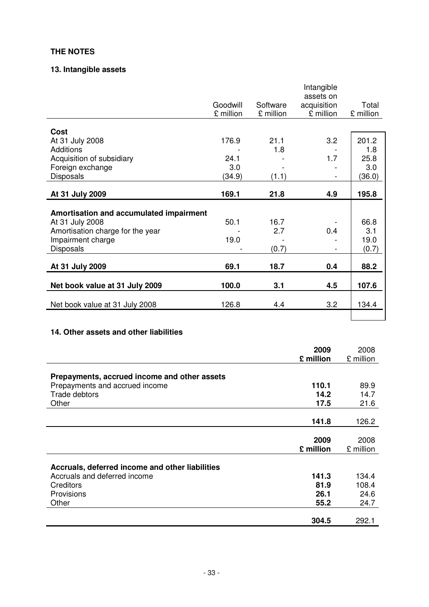# **13. Intangible assets**

|                                         | Goodwill<br>£ million | Software<br>£ million | Intangible<br>assets on<br>acquisition<br>£ million | Total<br>£ million |
|-----------------------------------------|-----------------------|-----------------------|-----------------------------------------------------|--------------------|
| Cost                                    |                       |                       |                                                     |                    |
| At 31 July 2008                         | 176.9                 | 21.1                  | 3.2                                                 | 201.2              |
| <b>Additions</b>                        |                       | 1.8                   |                                                     | 1.8                |
| Acquisition of subsidiary               | 24.1                  |                       | 1.7                                                 | 25.8               |
| Foreign exchange                        | 3.0                   |                       |                                                     | 3.0                |
| <b>Disposals</b>                        | (34.9)                | (1.1)                 |                                                     | (36.0)             |
| At 31 July 2009                         | 169.1                 | 21.8                  | 4.9                                                 | 195.8              |
| Amortisation and accumulated impairment |                       |                       |                                                     |                    |
| At 31 July 2008                         | 50.1                  | 16.7                  |                                                     | 66.8               |
| Amortisation charge for the year        |                       | 2.7                   | 0.4                                                 | 3.1                |
| Impairment charge                       | 19.0                  |                       |                                                     | 19.0               |
| <b>Disposals</b>                        |                       | (0.7)                 |                                                     | (0.7)              |
| At 31 July 2009                         | 69.1                  | 18.7                  | 0.4                                                 | 88.2               |
| Net book value at 31 July 2009          | 100.0                 | 3.1                   | 4.5                                                 | 107.6              |
| Net book value at 31 July 2008          | 126.8                 | 4.4                   | 3.2                                                 | 134.4              |
|                                         |                       |                       |                                                     |                    |

# **14. Other assets and other liabilities**

|                                                 | 2009      | 2008      |
|-------------------------------------------------|-----------|-----------|
|                                                 | £ million | £ million |
|                                                 |           |           |
| Prepayments, accrued income and other assets    |           |           |
| Prepayments and accrued income                  | 110.1     | 89.9      |
| Trade debtors                                   | 14.2      | 14.7      |
| Other                                           | 17.5      | 21.6      |
|                                                 |           |           |
|                                                 | 141.8     | 126.2     |
|                                                 |           |           |
|                                                 | 2009      | 2008      |
|                                                 | £ million | £ million |
|                                                 |           |           |
| Accruals, deferred income and other liabilities |           |           |
| Accruals and deferred income                    | 141.3     | 134.4     |
| Creditors                                       | 81.9      | 108.4     |
| Provisions                                      | 26.1      | 24.6      |
| Other                                           | 55.2      | 24.7      |
|                                                 |           |           |
|                                                 | 304.5     | 292.1     |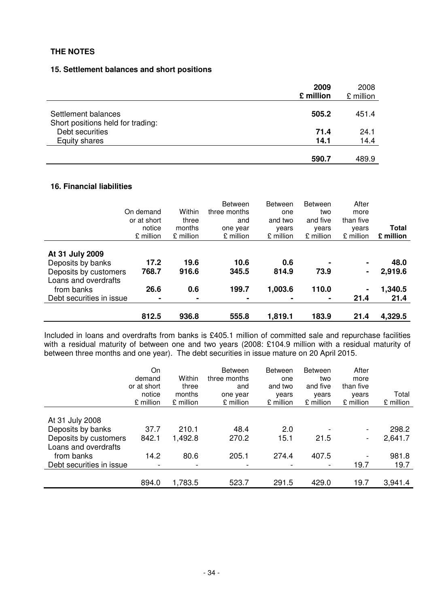#### **15. Settlement balances and short positions**

|                                                          | 2009<br>£ million | 2008<br>£ million |
|----------------------------------------------------------|-------------------|-------------------|
| Settlement balances<br>Short positions held for trading: | 505.2             | 451.4             |
| Debt securities                                          | 71.4              | 24.1              |
| Equity shares                                            | 14.1              | 14.4              |
|                                                          | 590.7             | 489.9             |

# **16. Financial liabilities**

|                                                                                       | On demand<br>or at short<br>notice<br>£ million | Within<br>three<br>months<br>£ million | <b>Between</b><br>three months<br>and<br>one year<br>£ million | <b>Between</b><br>one<br>and two<br>vears<br>£ million | <b>Between</b><br>two<br>and five<br>vears<br>£ million | After<br>more<br>than five<br>vears<br>£ million | <b>Total</b><br>£ million |
|---------------------------------------------------------------------------------------|-------------------------------------------------|----------------------------------------|----------------------------------------------------------------|--------------------------------------------------------|---------------------------------------------------------|--------------------------------------------------|---------------------------|
| At 31 July 2009<br>Deposits by banks<br>Deposits by customers<br>Loans and overdrafts | 17.2<br>768.7                                   | 19.6<br>916.6                          | 10.6<br>345.5                                                  | 0.6<br>814.9                                           | 73.9                                                    | ۰.                                               | 48.0<br>2,919.6           |
| from banks<br>Debt securities in issue                                                | 26.6<br>۰                                       | 0.6<br>٠                               | 199.7<br>۰                                                     | 1,003.6<br>٠                                           | 110.0<br>۰                                              | ٠<br>21.4                                        | 1,340.5<br>21.4           |
|                                                                                       | 812.5                                           | 936.8                                  | 555.8                                                          | 1,819.1                                                | 183.9                                                   | 21.4                                             | 4,329.5                   |

Included in loans and overdrafts from banks is £405.1 million of committed sale and repurchase facilities with a residual maturity of between one and two years (2008: £104.9 million with a residual maturity of between three months and one year). The debt securities in issue mature on 20 April 2015.

|                          | On          |           | <b>Between</b> | <b>Between</b> | <b>Between</b> | After                    |           |
|--------------------------|-------------|-----------|----------------|----------------|----------------|--------------------------|-----------|
|                          | demand      | Within    | three months   | one            | two            | more                     |           |
|                          | or at short | three     | and            | and two        | and five       | than five                |           |
|                          | notice      | months    | one year       | vears          | vears          | years                    | Total     |
|                          | £ million   | £ million | £ million      | £ million      | £ million      | £ million                | £ million |
|                          |             |           |                |                |                |                          |           |
| At 31 July 2008          |             |           |                |                |                |                          |           |
| Deposits by banks        | 37.7        | 210.1     | 48.4           | 2.0            |                | $\overline{\phantom{a}}$ | 298.2     |
| Deposits by customers    | 842.1       | 1,492.8   | 270.2          | 15.1           | 21.5           | $\overline{\phantom{a}}$ | 2,641.7   |
| Loans and overdrafts     |             |           |                |                |                |                          |           |
| from banks               | 14.2        | 80.6      | 205.1          | 274.4          | 407.5          | $\overline{\phantom{0}}$ | 981.8     |
| Debt securities in issue |             |           |                |                |                | 19.7                     | 19.7      |
|                          |             |           |                |                |                |                          |           |
|                          | 894.0       | 1,783.5   | 523.7          | 291.5          | 429.0          | 19.7                     | 3,941.4   |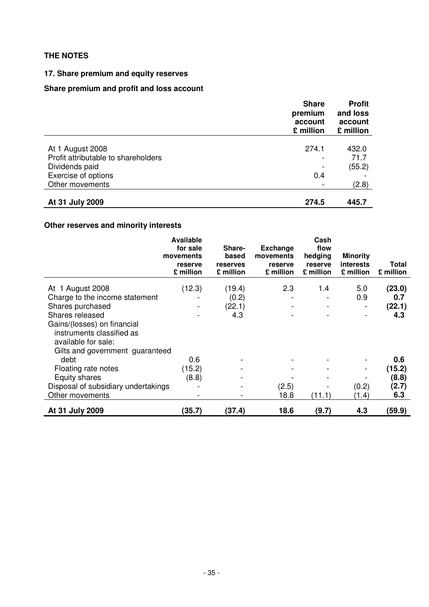# **17. Share premium and equity reserves**

# **Share premium and profit and loss account**

|                                     | <b>Share</b><br>premium<br>account<br>£ million | <b>Profit</b><br>and loss<br>account<br>£ million |
|-------------------------------------|-------------------------------------------------|---------------------------------------------------|
|                                     |                                                 |                                                   |
| At 1 August 2008                    | 274.1                                           | 432.0                                             |
| Profit attributable to shareholders |                                                 | 71.7                                              |
| Dividends paid                      |                                                 | (55.2)                                            |
| Exercise of options                 | 0.4                                             |                                                   |
| Other movements                     |                                                 | (2.8)                                             |
|                                     |                                                 |                                                   |
| At 31 July 2009                     | 274.5                                           | 445.7                                             |

# **Other reserves and minority interests**

|                                                                                                                    | <b>Available</b><br>for sale<br>movements<br>reserve<br>£ million | Share-<br>based<br>reserves<br>£ million | <b>Exchange</b><br>movements<br>reserve<br>£ million | Cash<br>flow<br>hedging<br>reserve<br>£ million | <b>Minority</b><br>interests<br>£ million | Total<br>£ million |
|--------------------------------------------------------------------------------------------------------------------|-------------------------------------------------------------------|------------------------------------------|------------------------------------------------------|-------------------------------------------------|-------------------------------------------|--------------------|
| At 1 August 2008                                                                                                   | (12.3)                                                            | (19.4)                                   | 2.3                                                  | 1.4                                             | 5.0                                       | (23.0)             |
| Charge to the income statement                                                                                     |                                                                   | (0.2)                                    |                                                      |                                                 | 0.9                                       | 0.7                |
| Shares purchased                                                                                                   |                                                                   | (22.1)                                   |                                                      |                                                 |                                           | (22.1)             |
| Shares released                                                                                                    |                                                                   | 4.3                                      |                                                      |                                                 |                                           | 4.3                |
| Gains/(losses) on financial<br>instruments classified as<br>available for sale:<br>Gilts and government guaranteed |                                                                   |                                          |                                                      |                                                 |                                           |                    |
| debt                                                                                                               | 0.6                                                               |                                          |                                                      |                                                 |                                           | 0.6                |
| Floating rate notes                                                                                                | (15.2)                                                            |                                          |                                                      |                                                 |                                           | (15.2)             |
| Equity shares                                                                                                      | (8.8)                                                             |                                          |                                                      |                                                 |                                           | (8.8)              |
| Disposal of subsidiary undertakings                                                                                |                                                                   |                                          | (2.5)                                                |                                                 | (0.2)                                     | (2.7)              |
| Other movements                                                                                                    |                                                                   |                                          | 18.8                                                 | (11.1)                                          | (1.4)                                     | 6.3                |
| At 31 July 2009                                                                                                    | (35.7)                                                            | (37.4)                                   | 18.6                                                 | (9.7)                                           | 4.3                                       | (59.9)             |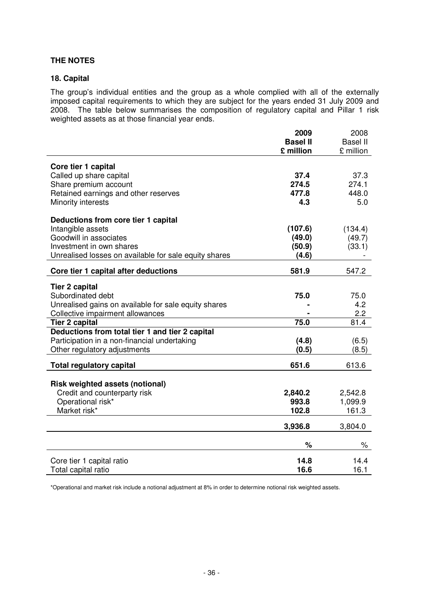# **18. Capital**

The group's individual entities and the group as a whole complied with all of the externally imposed capital requirements to which they are subject for the years ended 31 July 2009 and 2008. The table below summarises the composition of regulatory capital and Pillar 1 risk weighted assets as at those financial year ends.

|                                                       | 2009            | 2008            |
|-------------------------------------------------------|-----------------|-----------------|
|                                                       | <b>Basel II</b> | <b>Basel II</b> |
|                                                       | £ million       | £ million       |
|                                                       |                 |                 |
| Core tier 1 capital                                   |                 |                 |
| Called up share capital                               | 37.4            | 37.3            |
| Share premium account                                 | 274.5           | 274.1           |
| Retained earnings and other reserves                  | 477.8           | 448.0           |
| Minority interests                                    | 4.3             | 5.0             |
|                                                       |                 |                 |
| Deductions from core tier 1 capital                   |                 |                 |
| Intangible assets                                     | (107.6)         | (134.4)         |
| Goodwill in associates                                | (49.0)          | (49.7)          |
| Investment in own shares                              | (50.9)          | (33.1)          |
| Unrealised losses on available for sale equity shares | (4.6)           |                 |
|                                                       |                 |                 |
| Core tier 1 capital after deductions                  | 581.9           | 547.2           |
|                                                       |                 |                 |
| <b>Tier 2 capital</b>                                 |                 |                 |
| Subordinated debt                                     | 75.0            | 75.0            |
| Unrealised gains on available for sale equity shares  |                 | 4.2             |
| Collective impairment allowances                      |                 | 2.2             |
| <b>Tier 2 capital</b>                                 | 75.0            | 81.4            |
| Deductions from total tier 1 and tier 2 capital       |                 |                 |
| Participation in a non-financial undertaking          | (4.8)           | (6.5)           |
| Other regulatory adjustments                          | (0.5)           | (8.5)           |
|                                                       |                 |                 |
| <b>Total regulatory capital</b>                       | 651.6           | 613.6           |
|                                                       |                 |                 |
| <b>Risk weighted assets (notional)</b>                |                 |                 |
| Credit and counterparty risk                          | 2,840.2         | 2,542.8         |
| Operational risk*                                     | 993.8           | 1,099.9         |
| Market risk*                                          | 102.8           | 161.3           |
|                                                       | 3,936.8         | 3,804.0         |
|                                                       |                 |                 |
|                                                       | $\%$            | $\%$            |
| Core tier 1 capital ratio                             | 14.8            | 14.4            |
| Total capital ratio                                   | 16.6            | 16.1            |
|                                                       |                 |                 |

\*Operational and market risk include a notional adjustment at 8% in order to determine notional risk weighted assets.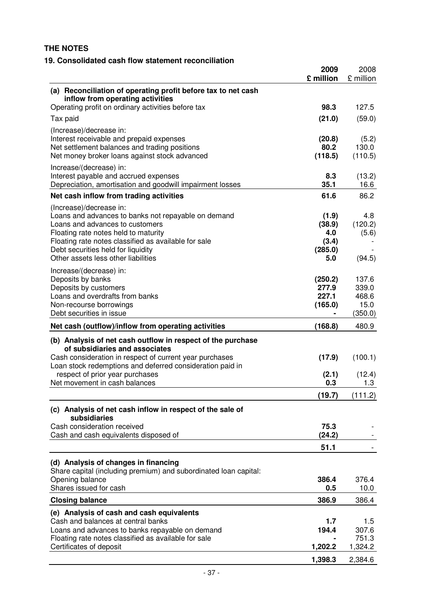# **19. Consolidated cash flow statement reconciliation**

|                                                                                                                                                                                                                                                                                                | 2009<br>£ million                                 | 2008<br>£ million                          |
|------------------------------------------------------------------------------------------------------------------------------------------------------------------------------------------------------------------------------------------------------------------------------------------------|---------------------------------------------------|--------------------------------------------|
| (a) Reconciliation of operating profit before tax to net cash<br>inflow from operating activities                                                                                                                                                                                              |                                                   |                                            |
| Operating profit on ordinary activities before tax                                                                                                                                                                                                                                             | 98.3                                              | 127.5                                      |
| Tax paid                                                                                                                                                                                                                                                                                       | (21.0)                                            | (59.0)                                     |
| (Increase)/decrease in:<br>Interest receivable and prepaid expenses<br>Net settlement balances and trading positions<br>Net money broker loans against stock advanced                                                                                                                          | (20.8)<br>80.2<br>(118.5)                         | (5.2)<br>130.0<br>(110.5)                  |
| Increase/(decrease) in:<br>Interest payable and accrued expenses<br>Depreciation, amortisation and goodwill impairment losses                                                                                                                                                                  | 8.3<br>35.1                                       | (13.2)<br>16.6                             |
| Net cash inflow from trading activities                                                                                                                                                                                                                                                        | 61.6                                              | 86.2                                       |
| (Increase)/decrease in:<br>Loans and advances to banks not repayable on demand<br>Loans and advances to customers<br>Floating rate notes held to maturity<br>Floating rate notes classified as available for sale<br>Debt securities held for liquidity<br>Other assets less other liabilities | (1.9)<br>(38.9)<br>4.0<br>(3.4)<br>(285.0)<br>5.0 | 4.8<br>(120.2)<br>(5.6)<br>(94.5)          |
| Increase/(decrease) in:<br>Deposits by banks<br>Deposits by customers<br>Loans and overdrafts from banks<br>Non-recourse borrowings<br>Debt securities in issue                                                                                                                                | (250.2)<br>277.9<br>227.1<br>(165.0)              | 137.6<br>339.0<br>468.6<br>15.0<br>(350.0) |
| Net cash (outflow)/inflow from operating activities                                                                                                                                                                                                                                            | (168.8)                                           | 480.9                                      |
| (b) Analysis of net cash outflow in respect of the purchase<br>of subsidiaries and associates                                                                                                                                                                                                  |                                                   |                                            |
| Cash consideration in respect of current year purchases<br>Loan stock redemptions and deferred consideration paid in                                                                                                                                                                           | (17.9)                                            | (100.1)                                    |
| respect of prior year purchases<br>Net movement in cash balances                                                                                                                                                                                                                               | (2.1)<br>0.3                                      | (12.4)<br>1.3                              |
|                                                                                                                                                                                                                                                                                                | (19.7)                                            | (111.2)                                    |
| (c) Analysis of net cash inflow in respect of the sale of<br>subsidiaries                                                                                                                                                                                                                      |                                                   |                                            |
| Cash consideration received                                                                                                                                                                                                                                                                    | 75.3                                              |                                            |
| Cash and cash equivalents disposed of                                                                                                                                                                                                                                                          | (24.2)                                            |                                            |
|                                                                                                                                                                                                                                                                                                | 51.1                                              |                                            |
| (d) Analysis of changes in financing<br>Share capital (including premium) and subordinated loan capital:<br>Opening balance                                                                                                                                                                    | 386.4                                             | 376.4                                      |
| Shares issued for cash                                                                                                                                                                                                                                                                         | 0.5                                               | 10.0                                       |
| <b>Closing balance</b>                                                                                                                                                                                                                                                                         | 386.9                                             | 386.4                                      |
| (e) Analysis of cash and cash equivalents                                                                                                                                                                                                                                                      |                                                   |                                            |
| Cash and balances at central banks<br>Loans and advances to banks repayable on demand                                                                                                                                                                                                          | 1.7<br>194.4                                      | 1.5<br>307.6                               |
| Floating rate notes classified as available for sale                                                                                                                                                                                                                                           |                                                   | 751.3                                      |
| Certificates of deposit                                                                                                                                                                                                                                                                        | 1,202.2                                           | 1,324.2                                    |
|                                                                                                                                                                                                                                                                                                | 1,398.3                                           | 2,384.6                                    |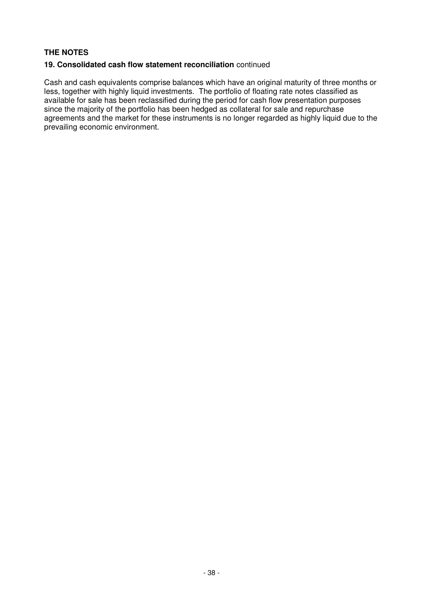# **19. Consolidated cash flow statement reconciliation** continued

Cash and cash equivalents comprise balances which have an original maturity of three months or less, together with highly liquid investments. The portfolio of floating rate notes classified as available for sale has been reclassified during the period for cash flow presentation purposes since the majority of the portfolio has been hedged as collateral for sale and repurchase agreements and the market for these instruments is no longer regarded as highly liquid due to the prevailing economic environment.